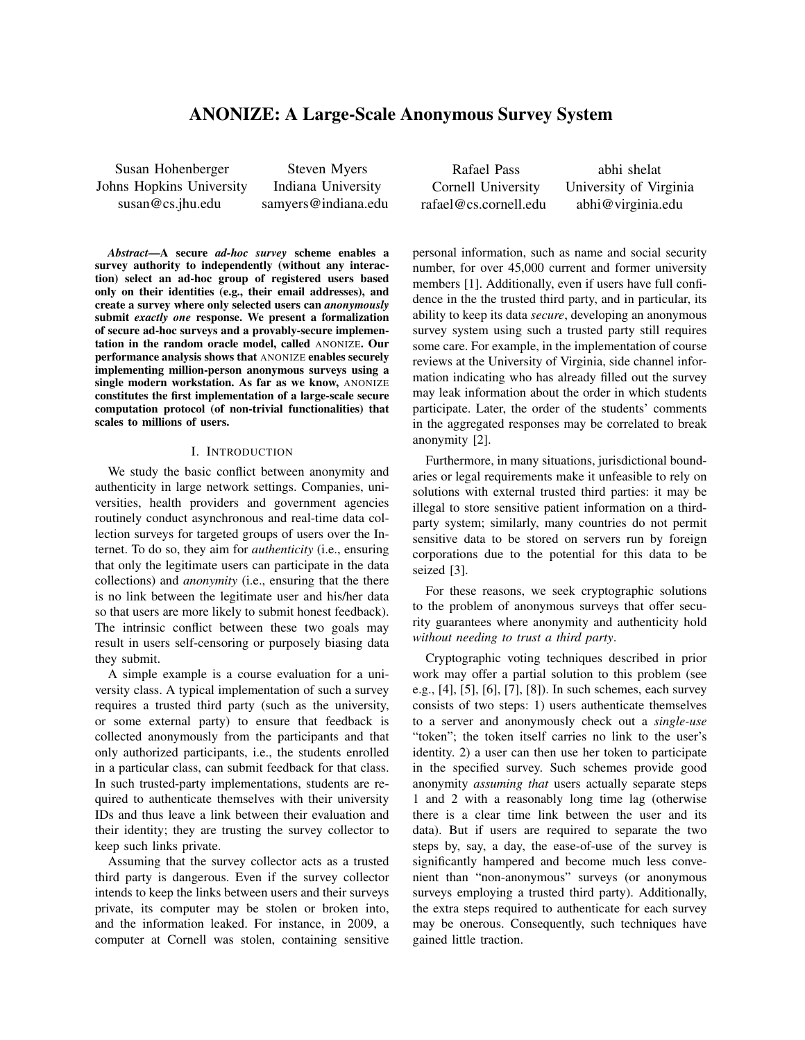# ANONIZE: A Large-Scale Anonymous Survey System

Susan Hohenberger Johns Hopkins University susan@cs.jhu.edu Steven Myers Indiana University samyers@indiana.edu

*Abstract*—A secure *ad-hoc survey* scheme enables a survey authority to independently (without any interaction) select an ad-hoc group of registered users based only on their identities (e.g., their email addresses), and create a survey where only selected users can *anonymously* submit *exactly one* response. We present a formalization of secure ad-hoc surveys and a provably-secure implementation in the random oracle model, called ANONIZE. Our performance analysis shows that ANONIZE enables securely implementing million-person anonymous surveys using a single modern workstation. As far as we know, ANONIZE constitutes the first implementation of a large-scale secure computation protocol (of non-trivial functionalities) that scales to millions of users.

#### I. INTRODUCTION

We study the basic conflict between anonymity and authenticity in large network settings. Companies, universities, health providers and government agencies routinely conduct asynchronous and real-time data collection surveys for targeted groups of users over the Internet. To do so, they aim for *authenticity* (i.e., ensuring that only the legitimate users can participate in the data collections) and *anonymity* (i.e., ensuring that the there is no link between the legitimate user and his/her data so that users are more likely to submit honest feedback). The intrinsic conflict between these two goals may result in users self-censoring or purposely biasing data they submit.

A simple example is a course evaluation for a university class. A typical implementation of such a survey requires a trusted third party (such as the university, or some external party) to ensure that feedback is collected anonymously from the participants and that only authorized participants, i.e., the students enrolled in a particular class, can submit feedback for that class. In such trusted-party implementations, students are required to authenticate themselves with their university IDs and thus leave a link between their evaluation and their identity; they are trusting the survey collector to keep such links private.

Assuming that the survey collector acts as a trusted third party is dangerous. Even if the survey collector intends to keep the links between users and their surveys private, its computer may be stolen or broken into, and the information leaked. For instance, in 2009, a computer at Cornell was stolen, containing sensitive

| Rafael Pass           | abhi shelat            |  |  |
|-----------------------|------------------------|--|--|
| Cornell University    | University of Virginia |  |  |
| rafael@cs.cornell.edu | abhi@virginia.edu      |  |  |

personal information, such as name and social security number, for over 45,000 current and former university members [1]. Additionally, even if users have full confidence in the the trusted third party, and in particular, its ability to keep its data *secure*, developing an anonymous survey system using such a trusted party still requires some care. For example, in the implementation of course reviews at the University of Virginia, side channel information indicating who has already filled out the survey may leak information about the order in which students participate. Later, the order of the students' comments in the aggregated responses may be correlated to break anonymity [2].

Furthermore, in many situations, jurisdictional boundaries or legal requirements make it unfeasible to rely on solutions with external trusted third parties: it may be illegal to store sensitive patient information on a thirdparty system; similarly, many countries do not permit sensitive data to be stored on servers run by foreign corporations due to the potential for this data to be seized [3].

For these reasons, we seek cryptographic solutions to the problem of anonymous surveys that offer security guarantees where anonymity and authenticity hold *without needing to trust a third party*.

Cryptographic voting techniques described in prior work may offer a partial solution to this problem (see e.g., [4], [5], [6], [7], [8]). In such schemes, each survey consists of two steps: 1) users authenticate themselves to a server and anonymously check out a *single-use* "token"; the token itself carries no link to the user's identity. 2) a user can then use her token to participate in the specified survey. Such schemes provide good anonymity *assuming that* users actually separate steps 1 and 2 with a reasonably long time lag (otherwise there is a clear time link between the user and its data). But if users are required to separate the two steps by, say, a day, the ease-of-use of the survey is significantly hampered and become much less convenient than "non-anonymous" surveys (or anonymous surveys employing a trusted third party). Additionally, the extra steps required to authenticate for each survey may be onerous. Consequently, such techniques have gained little traction.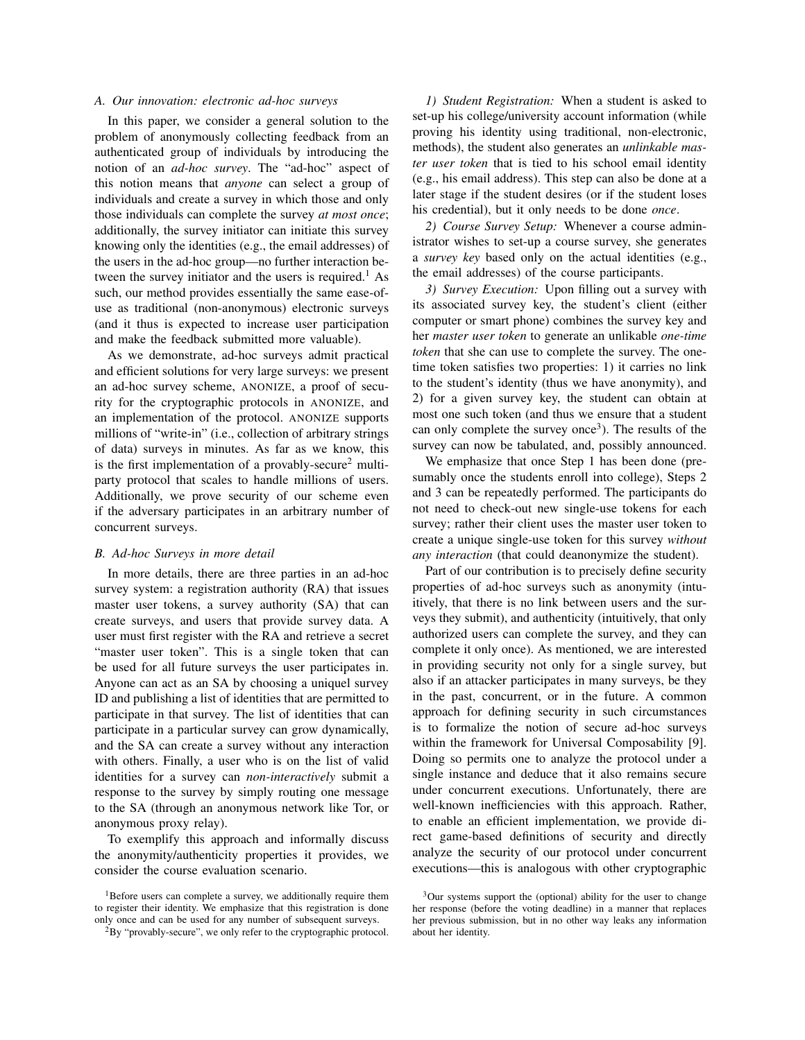### *A. Our innovation: electronic ad-hoc surveys*

In this paper, we consider a general solution to the problem of anonymously collecting feedback from an authenticated group of individuals by introducing the notion of an *ad-hoc survey*. The "ad-hoc" aspect of this notion means that *anyone* can select a group of individuals and create a survey in which those and only those individuals can complete the survey *at most once*; additionally, the survey initiator can initiate this survey knowing only the identities (e.g., the email addresses) of the users in the ad-hoc group—no further interaction between the survey initiator and the users is required.<sup>1</sup> As such, our method provides essentially the same ease-ofuse as traditional (non-anonymous) electronic surveys (and it thus is expected to increase user participation and make the feedback submitted more valuable).

As we demonstrate, ad-hoc surveys admit practical and efficient solutions for very large surveys: we present an ad-hoc survey scheme, ANONIZE, a proof of security for the cryptographic protocols in ANONIZE, and an implementation of the protocol. ANONIZE supports millions of "write-in" (i.e., collection of arbitrary strings of data) surveys in minutes. As far as we know, this is the first implementation of a provably-secure<sup>2</sup> multiparty protocol that scales to handle millions of users. Additionally, we prove security of our scheme even if the adversary participates in an arbitrary number of concurrent surveys.

#### *B. Ad-hoc Surveys in more detail*

In more details, there are three parties in an ad-hoc survey system: a registration authority (RA) that issues master user tokens, a survey authority (SA) that can create surveys, and users that provide survey data. A user must first register with the RA and retrieve a secret "master user token". This is a single token that can be used for all future surveys the user participates in. Anyone can act as an SA by choosing a uniquel survey ID and publishing a list of identities that are permitted to participate in that survey. The list of identities that can participate in a particular survey can grow dynamically, and the SA can create a survey without any interaction with others. Finally, a user who is on the list of valid identities for a survey can *non-interactively* submit a response to the survey by simply routing one message to the SA (through an anonymous network like Tor, or anonymous proxy relay).

To exemplify this approach and informally discuss the anonymity/authenticity properties it provides, we consider the course evaluation scenario.

*1) Student Registration:* When a student is asked to set-up his college/university account information (while proving his identity using traditional, non-electronic, methods), the student also generates an *unlinkable master user token* that is tied to his school email identity (e.g., his email address). This step can also be done at a later stage if the student desires (or if the student loses his credential), but it only needs to be done *once*.

*2) Course Survey Setup:* Whenever a course administrator wishes to set-up a course survey, she generates a *survey key* based only on the actual identities (e.g., the email addresses) of the course participants.

*3) Survey Execution:* Upon filling out a survey with its associated survey key, the student's client (either computer or smart phone) combines the survey key and her *master user token* to generate an unlikable *one-time token* that she can use to complete the survey. The onetime token satisfies two properties: 1) it carries no link to the student's identity (thus we have anonymity), and 2) for a given survey key, the student can obtain at most one such token (and thus we ensure that a student can only complete the survey once<sup>3</sup>). The results of the survey can now be tabulated, and, possibly announced.

We emphasize that once Step 1 has been done (presumably once the students enroll into college), Steps 2 and 3 can be repeatedly performed. The participants do not need to check-out new single-use tokens for each survey; rather their client uses the master user token to create a unique single-use token for this survey *without any interaction* (that could deanonymize the student).

Part of our contribution is to precisely define security properties of ad-hoc surveys such as anonymity (intuitively, that there is no link between users and the surveys they submit), and authenticity (intuitively, that only authorized users can complete the survey, and they can complete it only once). As mentioned, we are interested in providing security not only for a single survey, but also if an attacker participates in many surveys, be they in the past, concurrent, or in the future. A common approach for defining security in such circumstances is to formalize the notion of secure ad-hoc surveys within the framework for Universal Composability [9]. Doing so permits one to analyze the protocol under a single instance and deduce that it also remains secure under concurrent executions. Unfortunately, there are well-known inefficiencies with this approach. Rather, to enable an efficient implementation, we provide direct game-based definitions of security and directly analyze the security of our protocol under concurrent executions—this is analogous with other cryptographic

<sup>&</sup>lt;sup>1</sup>Before users can complete a survey, we additionally require them to register their identity. We emphasize that this registration is done only once and can be used for any number of subsequent surveys.

<sup>&</sup>lt;sup>2</sup>By "provably-secure", we only refer to the cryptographic protocol.

<sup>3</sup>Our systems support the (optional) ability for the user to change her response (before the voting deadline) in a manner that replaces her previous submission, but in no other way leaks any information about her identity.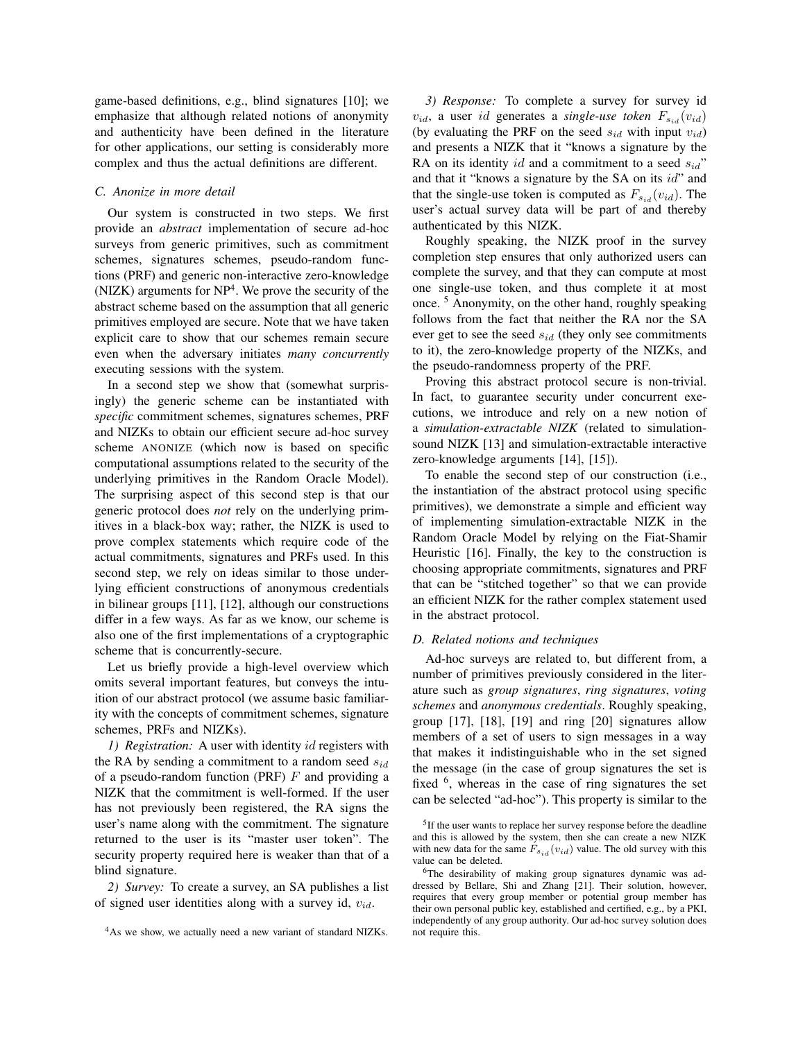game-based definitions, e.g., blind signatures [10]; we emphasize that although related notions of anonymity and authenticity have been defined in the literature for other applications, our setting is considerably more complex and thus the actual definitions are different.

#### *C. Anonize in more detail*

Our system is constructed in two steps. We first provide an *abstract* implementation of secure ad-hoc surveys from generic primitives, such as commitment schemes, signatures schemes, pseudo-random functions (PRF) and generic non-interactive zero-knowledge (NIZK) arguments for  $NP<sup>4</sup>$ . We prove the security of the abstract scheme based on the assumption that all generic primitives employed are secure. Note that we have taken explicit care to show that our schemes remain secure even when the adversary initiates *many concurrently* executing sessions with the system.

In a second step we show that (somewhat surprisingly) the generic scheme can be instantiated with *specific* commitment schemes, signatures schemes, PRF and NIZKs to obtain our efficient secure ad-hoc survey scheme ANONIZE (which now is based on specific computational assumptions related to the security of the underlying primitives in the Random Oracle Model). The surprising aspect of this second step is that our generic protocol does *not* rely on the underlying primitives in a black-box way; rather, the NIZK is used to prove complex statements which require code of the actual commitments, signatures and PRFs used. In this second step, we rely on ideas similar to those underlying efficient constructions of anonymous credentials in bilinear groups [11], [12], although our constructions differ in a few ways. As far as we know, our scheme is also one of the first implementations of a cryptographic scheme that is concurrently-secure.

Let us briefly provide a high-level overview which omits several important features, but conveys the intuition of our abstract protocol (we assume basic familiarity with the concepts of commitment schemes, signature schemes, PRFs and NIZKs).

*1) Registration:* A user with identity id registers with the RA by sending a commitment to a random seed  $s_{id}$ of a pseudo-random function (PRF)  $F$  and providing a NIZK that the commitment is well-formed. If the user has not previously been registered, the RA signs the user's name along with the commitment. The signature returned to the user is its "master user token". The security property required here is weaker than that of a blind signature.

*2) Survey:* To create a survey, an SA publishes a list of signed user identities along with a survey id,  $v_{id}$ .

*3) Response:* To complete a survey for survey id  $v_{id}$ , a user id generates a *single-use token*  $F_{s_{id}}(v_{id})$ (by evaluating the PRF on the seed  $s_{id}$  with input  $v_{id}$ ) and presents a NIZK that it "knows a signature by the RA on its identity id and a commitment to a seed  $s_{id}$ " and that it "knows a signature by the SA on its  $id$ " and that the single-use token is computed as  $F_{s_{id}}(v_{id})$ . The user's actual survey data will be part of and thereby authenticated by this NIZK.

Roughly speaking, the NIZK proof in the survey completion step ensures that only authorized users can complete the survey, and that they can compute at most one single-use token, and thus complete it at most once. <sup>5</sup> Anonymity, on the other hand, roughly speaking follows from the fact that neither the RA nor the SA ever get to see the seed  $s_{id}$  (they only see commitments to it), the zero-knowledge property of the NIZKs, and the pseudo-randomness property of the PRF.

Proving this abstract protocol secure is non-trivial. In fact, to guarantee security under concurrent executions, we introduce and rely on a new notion of a *simulation-extractable NIZK* (related to simulationsound NIZK [13] and simulation-extractable interactive zero-knowledge arguments [14], [15]).

To enable the second step of our construction (i.e., the instantiation of the abstract protocol using specific primitives), we demonstrate a simple and efficient way of implementing simulation-extractable NIZK in the Random Oracle Model by relying on the Fiat-Shamir Heuristic [16]. Finally, the key to the construction is choosing appropriate commitments, signatures and PRF that can be "stitched together" so that we can provide an efficient NIZK for the rather complex statement used in the abstract protocol.

#### *D. Related notions and techniques*

Ad-hoc surveys are related to, but different from, a number of primitives previously considered in the literature such as *group signatures*, *ring signatures*, *voting schemes* and *anonymous credentials*. Roughly speaking, group [17], [18], [19] and ring [20] signatures allow members of a set of users to sign messages in a way that makes it indistinguishable who in the set signed the message (in the case of group signatures the set is fixed  $6$ , whereas in the case of ring signatures the set can be selected "ad-hoc"). This property is similar to the

<sup>4</sup>As we show, we actually need a new variant of standard NIZKs.

<sup>&</sup>lt;sup>5</sup>If the user wants to replace her survey response before the deadline and this is allowed by the system, then she can create a new NIZK with new data for the same  $F_{s_{id}}(v_{id})$  value. The old survey with this value can be deleted.

<sup>6</sup>The desirability of making group signatures dynamic was addressed by Bellare, Shi and Zhang [21]. Their solution, however, requires that every group member or potential group member has their own personal public key, established and certified, e.g., by a PKI, independently of any group authority. Our ad-hoc survey solution does not require this.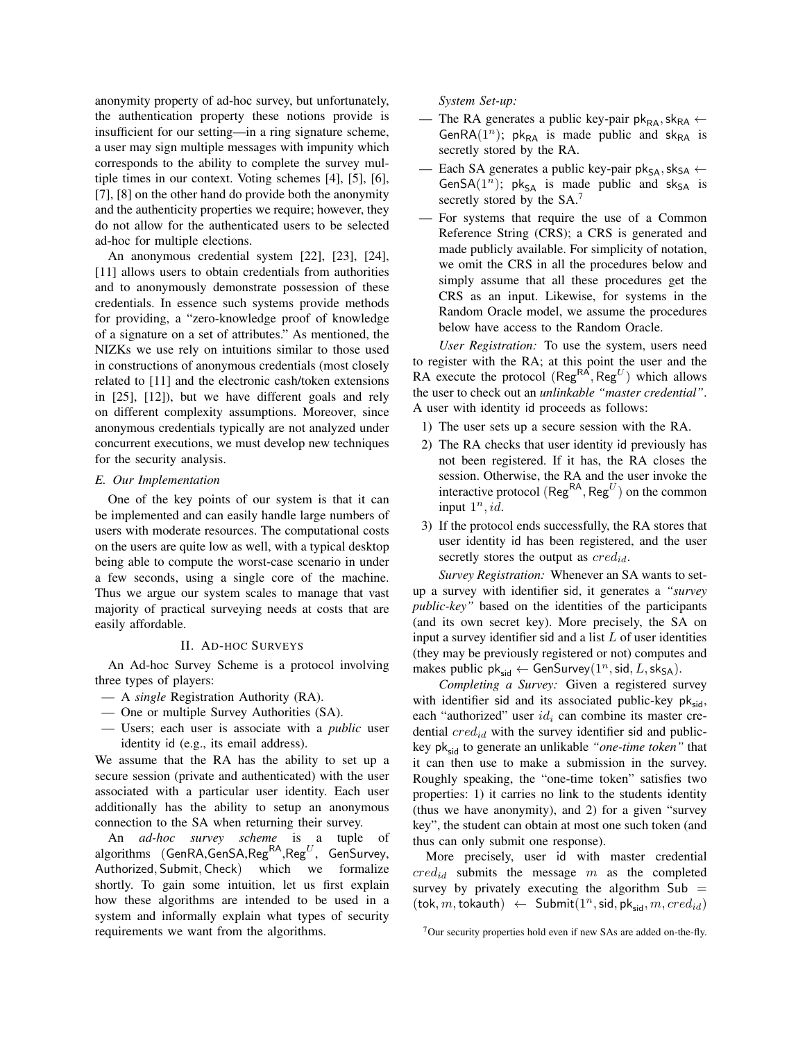anonymity property of ad-hoc survey, but unfortunately, the authentication property these notions provide is insufficient for our setting—in a ring signature scheme, a user may sign multiple messages with impunity which corresponds to the ability to complete the survey multiple times in our context. Voting schemes [4], [5], [6], [7], [8] on the other hand do provide both the anonymity and the authenticity properties we require; however, they do not allow for the authenticated users to be selected ad-hoc for multiple elections.

An anonymous credential system [22], [23], [24], [11] allows users to obtain credentials from authorities and to anonymously demonstrate possession of these credentials. In essence such systems provide methods for providing, a "zero-knowledge proof of knowledge of a signature on a set of attributes." As mentioned, the NIZKs we use rely on intuitions similar to those used in constructions of anonymous credentials (most closely related to [11] and the electronic cash/token extensions in [25], [12]), but we have different goals and rely on different complexity assumptions. Moreover, since anonymous credentials typically are not analyzed under concurrent executions, we must develop new techniques for the security analysis.

#### *E. Our Implementation*

One of the key points of our system is that it can be implemented and can easily handle large numbers of users with moderate resources. The computational costs on the users are quite low as well, with a typical desktop being able to compute the worst-case scenario in under a few seconds, using a single core of the machine. Thus we argue our system scales to manage that vast majority of practical surveying needs at costs that are easily affordable.

#### II. AD-HOC SURVEYS

An Ad-hoc Survey Scheme is a protocol involving three types of players:

- A *single* Registration Authority (RA).
- One or multiple Survey Authorities (SA).
- Users; each user is associate with a *public* user identity id (e.g., its email address).

We assume that the RA has the ability to set up a secure session (private and authenticated) with the user associated with a particular user identity. Each user additionally has the ability to setup an anonymous connection to the SA when returning their survey.

An *ad-hoc survey scheme* is a tuple of algorithms (GenRA, GenSA,  $Reg^{RA}$ ,  $Reg^{U}$ , GenSurvey, Authorized, Submit, Check) which we formalize shortly. To gain some intuition, let us first explain how these algorithms are intended to be used in a system and informally explain what types of security requirements we want from the algorithms.

*System Set-up:*

- The RA generates a public key-pair  $pk_{RA}$ , sk<sub>RA</sub>  $\leftarrow$ GenRA( $1^n$ ); pk<sub>RA</sub> is made public and sk<sub>RA</sub> is secretly stored by the RA.
- Each SA generates a public key-pair  $pk_{SA}$ , sk<sub>SA</sub>  $\leftarrow$ GenSA(1<sup>n</sup>); pk<sub>SA</sub> is made public and sk<sub>SA</sub> is secretly stored by the SA.<sup>7</sup>
- For systems that require the use of a Common Reference String (CRS); a CRS is generated and made publicly available. For simplicity of notation, we omit the CRS in all the procedures below and simply assume that all these procedures get the CRS as an input. Likewise, for systems in the Random Oracle model, we assume the procedures below have access to the Random Oracle.

*User Registration:* To use the system, users need to register with the RA; at this point the user and the RA execute the protocol  $(Reg^{RA}, Reg^{U})$  which allows the user to check out an *unlinkable "master credential"*. A user with identity id proceeds as follows:

- 1) The user sets up a secure session with the RA.
- 2) The RA checks that user identity id previously has not been registered. If it has, the RA closes the session. Otherwise, the RA and the user invoke the interactive protocol  $(Reg<sup>RA</sup>, Reg<sup>U</sup>)$  on the common input  $1^n$ , *id.*
- 3) If the protocol ends successfully, the RA stores that user identity id has been registered, and the user secretly stores the output as  $cred_{id}$ .

*Survey Registration:* Whenever an SA wants to setup a survey with identifier sid, it generates a *"survey public-key"* based on the identities of the participants (and its own secret key). More precisely, the SA on input a survey identifier sid and a list  $L$  of user identities (they may be previously registered or not) computes and makes public  $pk_{sid} \leftarrow GenSurvey(1^n, sid, L, sk_{SA}).$ 

*Completing a Survey:* Given a registered survey with identifier sid and its associated public-key  $pk_{sid}$ , each "authorized" user  $id_i$  can combine its master credential  $cred_{id}$  with the survey identifier sid and publickey pksid to generate an unlikable *"one-time token"* that it can then use to make a submission in the survey. Roughly speaking, the "one-time token" satisfies two properties: 1) it carries no link to the students identity (thus we have anonymity), and 2) for a given "survey key", the student can obtain at most one such token (and thus can only submit one response).

More precisely, user id with master credential  $cred_{id}$  submits the message m as the completed survey by privately executing the algorithm  $Sub =$  $(\text{tok}, m, \text{tokauth}) \leftarrow \text{Submit}(1^n, \text{sid}, \text{pk}_{\text{sid}}, m, \text{cred}_{id})$ 

<sup>7</sup>Our security properties hold even if new SAs are added on-the-fly.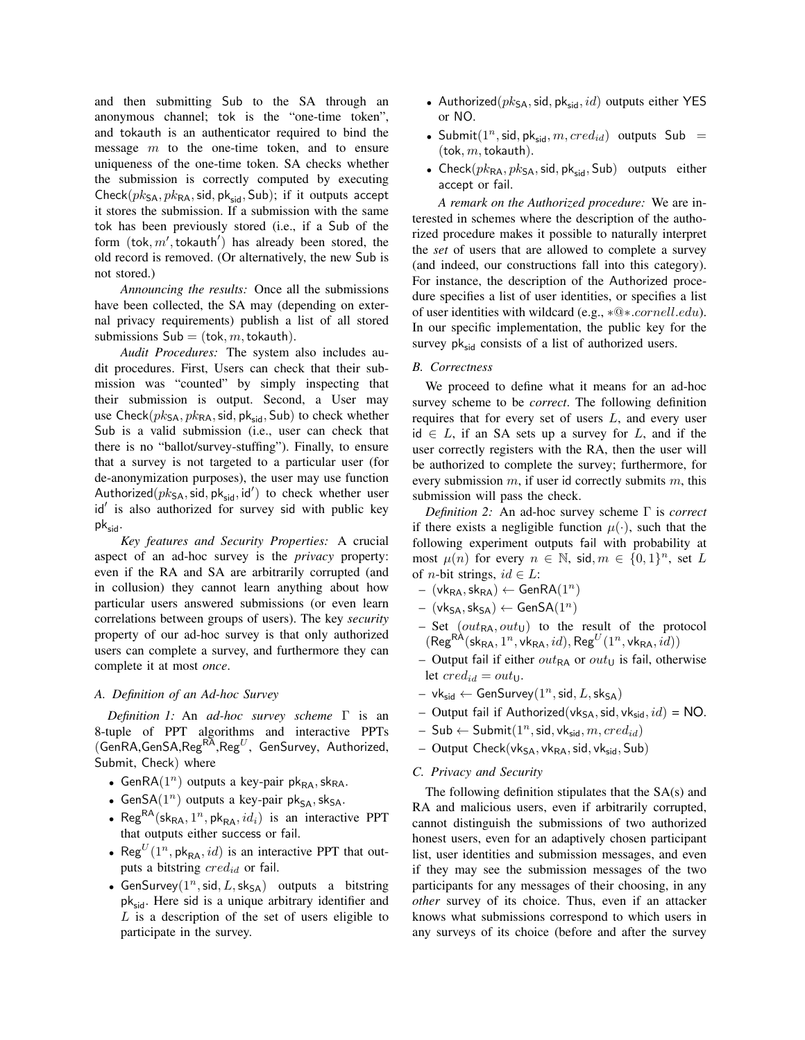and then submitting Sub to the SA through an anonymous channel; tok is the "one-time token", and tokauth is an authenticator required to bind the message  $m$  to the one-time token, and to ensure uniqueness of the one-time token. SA checks whether the submission is correctly computed by executing Check( $pk_{SA}$ ,  $pk_{RA}$ , sid,  $pk_{sid}$ , Sub); if it outputs accept it stores the submission. If a submission with the same tok has been previously stored (i.e., if a Sub of the form  $(\text{tok}, m', \text{tokauth}')$  has already been stored, the old record is removed. (Or alternatively, the new Sub is not stored.)

*Announcing the results:* Once all the submissions have been collected, the SA may (depending on external privacy requirements) publish a list of all stored submissions  $\mathsf{Sub} = (\mathsf{tok}, m, \mathsf{tokauth}).$ 

*Audit Procedures:* The system also includes audit procedures. First, Users can check that their submission was "counted" by simply inspecting that their submission is output. Second, a User may use Check( $pk_{SA}$ ,  $pk_{RA}$ , sid,  $pk_{sid}$ , Sub) to check whether Sub is a valid submission (i.e., user can check that there is no "ballot/survey-stuffing"). Finally, to ensure that a survey is not targeted to a particular user (for de-anonymization purposes), the user may use function Authorized( $pk_{SA}$ , sid,  $pk_{sid}$ , id') to check whether user id' is also authorized for survey sid with public key  $pk_{sid}.$ 

*Key features and Security Properties:* A crucial aspect of an ad-hoc survey is the *privacy* property: even if the RA and SA are arbitrarily corrupted (and in collusion) they cannot learn anything about how particular users answered submissions (or even learn correlations between groups of users). The key *security* property of our ad-hoc survey is that only authorized users can complete a survey, and furthermore they can complete it at most *once*.

### *A. Definition of an Ad-hoc Survey*

*Definition 1:* An *ad-hoc survey scheme* Γ is an 8-tuple of PPT algorithms and interactive PPTs  $(GenRA, GenSA, Reg<sup>RĀ</sup>,Reg<sup>U</sup>, GenSurvey, Authorized,$ Submit, Check) where

- GenRA $(1^n)$  outputs a key-pair pk<sub>RA</sub>, sk<sub>RA</sub>.
- GenSA $(1^n)$  outputs a key-pair pk<sub>SA</sub>, sk<sub>SA</sub>.
- Reg<sup>RA</sup>(sk<sub>RA</sub>, 1<sup>n</sup>, pk<sub>RA</sub>, id<sub>i</sub>) is an interactive PPT that outputs either success or fail.
- Reg<sup>U</sup> $(1^n, \text{pk}_{\text{RA}}, id)$  is an interactive PPT that outputs a bitstring  $cred_{id}$  or fail.
- GenSurvey $(1^n, \text{sid}, L, \text{sk}_{SA})$  outputs a bitstring pk<sub>sid</sub>. Here sid is a unique arbitrary identifier and  $L$  is a description of the set of users eligible to participate in the survey.
- Authorized( $pk_{SA}$ , sid, pk<sub>sid</sub>, id) outputs either YES or NO.
- Submit $(1^n, \text{sid}, \text{pk}_{\text{sid}}, m, \text{cred}_{id})$  outputs Sub =  $(t$ ok,  $m$ , tokauth).
- Check( $pk_{\text{RA}}, pk_{\text{SA}},$  sid,  $pk_{\text{sid}},$  Sub) outputs either accept or fail.

*A remark on the Authorized procedure:* We are interested in schemes where the description of the authorized procedure makes it possible to naturally interpret the *set* of users that are allowed to complete a survey (and indeed, our constructions fall into this category). For instance, the description of the Authorized procedure specifies a list of user identities, or specifies a list of user identities with wildcard (e.g., ∗@∗.cornell.edu). In our specific implementation, the public key for the survey  $pk_{sid}$  consists of a list of authorized users.

# *B. Correctness*

We proceed to define what it means for an ad-hoc survey scheme to be *correct*. The following definition requires that for every set of users  $L$ , and every user id  $∈ L$ , if an SA sets up a survey for  $L$ , and if the user correctly registers with the RA, then the user will be authorized to complete the survey; furthermore, for every submission  $m$ , if user id correctly submits  $m$ , this submission will pass the check.

*Definition 2:* An ad-hoc survey scheme Γ is *correct* if there exists a negligible function  $\mu(\cdot)$ , such that the following experiment outputs fail with probability at most  $\mu(n)$  for every  $n \in \mathbb{N}$ , sid,  $m \in \{0,1\}^n$ , set L of *n*-bit strings,  $id \in L$ :

- (vk<sub>RA</sub>, sk<sub>RA</sub>) ← GenRA $(1^n)$
- $-$  (vk<sub>SA</sub>, sk<sub>SA</sub>) ← GenSA(1<sup>n</sup>)
- Set  $(out_{RA}, out_U)$  to the result of the protocol  $(\operatorname{\mathsf{Reg}}^{\mathsf{RA}}(\mathsf{sk}_{\mathsf{RA}},1^n,\mathsf{vk}_{\mathsf{RA}},\mathit{id}),\operatorname{\mathsf{Reg}}^U(1^n,\mathsf{vk}_{\mathsf{RA}},\mathit{id}))$
- Output fail if either  $out_{RA}$  or  $out_{U}$  is fail, otherwise let  $cred_{id} = out_{\mathsf{U}}$ .
- $-$  vk<sub>sid</sub> ← GenSurvey $(1<sup>n</sup>,$ sid, L, sk<sub>SA</sub>)
- Output fail if Authorized(vk<sub>SA</sub>, sid, vk<sub>sid</sub>,  $id$ ) = NO.
- $-$  Sub $\leftarrow$  Submit $(1^n, \text{sid}, \text{vk}_{\text{sid}}, m, \text{cred}_{id})$
- $-$  Output Check(vk<sub>SA</sub>, vk<sub>RA</sub>, sid, vk<sub>sid</sub>, Sub)

# *C. Privacy and Security*

The following definition stipulates that the SA(s) and RA and malicious users, even if arbitrarily corrupted, cannot distinguish the submissions of two authorized honest users, even for an adaptively chosen participant list, user identities and submission messages, and even if they may see the submission messages of the two participants for any messages of their choosing, in any *other* survey of its choice. Thus, even if an attacker knows what submissions correspond to which users in any surveys of its choice (before and after the survey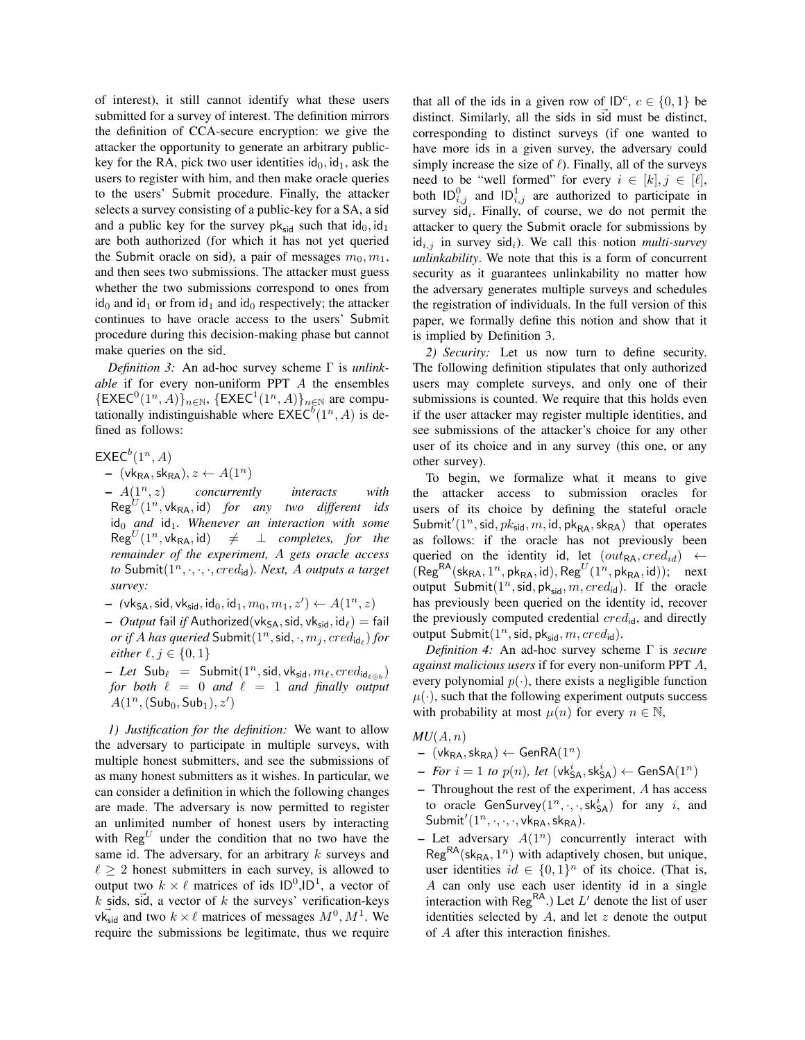of interest), it still cannot identify what these users submitted for a survey of interest. The definition mirrors the definition of CCA-secure encryption: we give the attacker the opportunity to generate an arbitrary publickey for the RA, pick two user identities  $id_0$ ,  $id_1$ , ask the users to register with him, and then make oracle queries to the users' Submit procedure. Finally, the attacker selects a survey consisting of a public-key for a SA, a sid and a public key for the survey  $pk_{sid}$  such that  $id_0$ ,  $id_1$ are both authorized (for which it has not yet queried the Submit oracle on sid), a pair of messages  $m_0, m_1$ , and then sees two submissions. The attacker must guess whether the two submissions correspond to ones from  $id_0$  and  $id_1$  or from  $id_1$  and  $id_0$  respectively; the attacker continues to have oracle access to the users' Submit procedure during this decision-making phase but cannot make queries on the sid.

*Definition 3:* An ad-hoc survey scheme Γ is *unlinkable* if for every non-uniform PPT A the ensembles  $\{\textsf{EXEC}^0(1^n, A)\}_{n \in \mathbb{N}}, \{\textsf{EXEC}^1(1^n, A)\}_{n \in \mathbb{N}}$  are computationally indistinguishable where  $\mathsf{EXEC}^b(1^n, A)$  is defined as follows:

# $\mathsf{EXEC}^b(1^n,A)$

– (vk<sub>RA</sub>, sk<sub>RA</sub>), *z* ←  $A(1^n)$ 

– A(1<sup>n</sup>, z) *concurrently interacts with*  $Reg^{U}(1^{n}, \text{vk}_{\text{RA}}, \text{id})$  *for any two different ids* id<sub>0</sub> and id<sub>1</sub>. Whenever an interaction with some  $\operatorname{Reg}^U(1^n, \mathsf{vk}_{\mathsf{RA}}, \mathsf{id}) \quad \neq \quad \perp \quad \textit{completes, for the}$ *remainder of the experiment,* A *gets oracle access to* Submit $(1^n, \cdot, \cdot, \cdot, \cdot, \text{cred}_{\mathsf{id}})$ *. Next, A outputs a target survey:*

 $-$  (vk<sub>SA</sub>, sid, vk<sub>sid</sub>, id<sub>0</sub>, id<sub>1</sub>,  $m_0, m_1, z' \rangle \leftarrow A(1^n, z)$ 

 $\, - \,$   $\it{Output}$  fail *if* <code>Authorized(vk<sub>SA</sub>, sid, vk<sub>sid</sub>, id $_{\ell}) =$  fail</code> *or if A has queried* Submit $(1^n, \text{sid}, \cdot, m_j, \text{cred}_{\text{id}_\ell})$  *for either*  $\ell, j \in \{0, 1\}$ 

 $-$  Let Sub $_{\ell}$  = Submit $(1^n, \text{sid}, \text{vk}_{\text{sid}}, m_{\ell}, \text{cred}_{\text{id}_{\ell \oplus b}})$ *for both*  $\ell = 0$  *and*  $\ell = 1$  *and finally output*  $A(1^n,(\mathsf{Sub}_0,\mathsf{Sub}_1),z')$ 

*1) Justification for the definition:* We want to allow the adversary to participate in multiple surveys, with multiple honest submitters, and see the submissions of as many honest submitters as it wishes. In particular, we can consider a definition in which the following changes are made. The adversary is now permitted to register an unlimited number of honest users by interacting with  $\text{Reg}^U$  under the condition that no two have the same id. The adversary, for an arbitrary  $k$  surveys and  $\ell \geq 2$  honest submitters in each survey, is allowed to output two  $k \times \ell$  matrices of ids  $ID^0, ID^1$ , a vector of  $k$  sids, sid, a vector of  $k$  the surveys' verification-keys  $\overrightarrow{w_{\text{sid}}}$  and two  $k \times \ell$  matrices of messages  $M^0, M^1$ . We require the submissions be legitimate, thus we require

that all of the ids in a given row of  $ID<sup>c</sup>$ ,  $c \in \{0, 1\}$  be distinct. Similarly, all the sids in sid must be distinct, corresponding to distinct surveys (if one wanted to have more ids in a given survey, the adversary could simply increase the size of  $\ell$ ). Finally, all of the surveys need to be "well formed" for every  $i \in [k], j \in [\ell],$ both  $ID_{i,j}^0$  and  $ID_{i,j}^1$  are authorized to participate in survey  $\text{sid}_i$ . Finally, of course, we do not permit the attacker to query the Submit oracle for submissions by  $id_{i,j}$  in survey sid<sub>i</sub>). We call this notion *multi-survey unlinkability*. We note that this is a form of concurrent security as it guarantees unlinkability no matter how the adversary generates multiple surveys and schedules the registration of individuals. In the full version of this paper, we formally define this notion and show that it is implied by Definition 3.

*2) Security:* Let us now turn to define security. The following definition stipulates that only authorized users may complete surveys, and only one of their submissions is counted. We require that this holds even if the user attacker may register multiple identities, and see submissions of the attacker's choice for any other user of its choice and in any survey (this one, or any other survey).

To begin, we formalize what it means to give the attacker access to submission oracles for users of its choice by defining the stateful oracle Submit'  $(1^n, \text{sid}, \text{pk}_{\text{sid}}, m, \text{id}, \text{pk}_{\text{RA}}, \text{sk}_{\text{RA}})$  that operates as follows: if the oracle has not previously been queried on the identity id, let  $(out_{\mathsf{RA}}, cred_{id}) \leftarrow$  $(Reg<sup>RA</sup>(sk<sub>RA</sub>, 1<sup>n</sup>, pk<sub>RA</sub>, id), Reg<sup>U</sup>(1<sup>n</sup>, pk<sub>RA</sub>, id));$  next output Submit $(1^n, \text{sid}, \text{pk}_{\text{sid}}, m, \text{cred}_{\text{id}})$ . If the oracle has previously been queried on the identity id, recover the previously computed credential  $cred_{id}$ , and directly output Submit $(1^n, \text{sid}, \text{pk}_{\text{sid}}, m, \text{cred}_{\text{id}}).$ 

*Definition 4:* An ad-hoc survey scheme Γ is *secure against malicious users* if for every non-uniform PPT A, every polynomial  $p(\cdot)$ , there exists a negligible function  $\mu(\cdot)$ , such that the following experiment outputs success with probability at most  $\mu(n)$  for every  $n \in \mathbb{N}$ ,

### *MU*(A, n)

- $-$  (vk<sub>RA</sub>, sk<sub>RA</sub>) ← GenRA(1<sup>n</sup>)
- $-$  *For*  $i = 1$  *to*  $p(n)$ , *let*  $(\forall k_{SA}^i, \forall s_{SA}^i) \leftarrow$  GenSA $(1^n)$
- Throughout the rest of the experiment, A has access to oracle GenSurvey $(1^n, \cdot, \cdot, \text{sk}^i_{\text{SA}})$  for any i, and  $\mathsf{Submit}'(1^n,\cdot,\cdot,\cdot,\cdot,\mathsf{vk}_{\mathsf{RA}},\mathsf{sk}_{\mathsf{RA}}).$
- Let adversary  $A(1^n)$  concurrently interact with Reg<sup>RA</sup>(sk<sub>RA</sub>,  $1^n$ ) with adaptively chosen, but unique, user identities  $id \in \{0,1\}^n$  of its choice. (That is, A can only use each user identity id in a single interaction with Reg<sup>RA</sup>.) Let  $L'$  denote the list of user identities selected by  $A$ , and let  $z$  denote the output of A after this interaction finishes.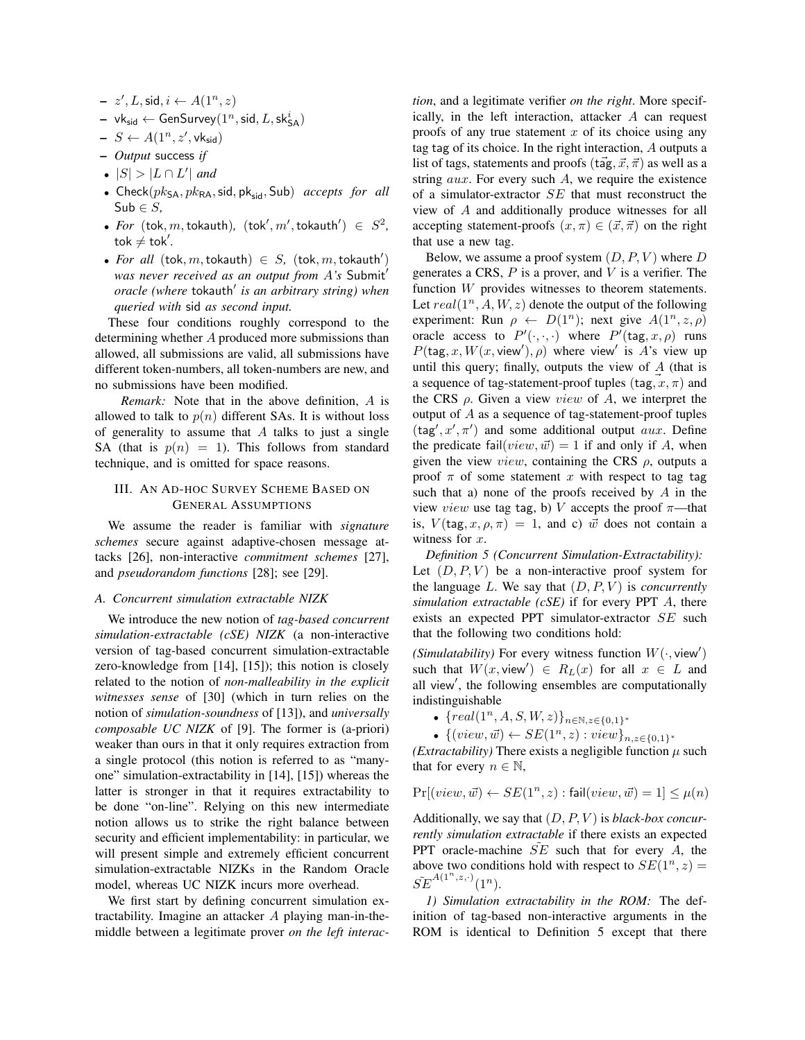- $z', L$ , sid,  $i \leftarrow A(1^n, z)$
- $-$  vk<sub>sid</sub>  $\leftarrow$  GenSurvey $(1^n, \text{sid}, L, \text{sk}^i_{\textsf{SA}})$
- $S \leftarrow A(1^n, z', \mathsf{vk}_{\mathsf{sid}})$
- *Output* success *if*
- $|S| > |L \cap L'|$  and
- Check $(pk_{SA}, p k_{RA}, \text{sid}, \text{pk}_{sid}, \text{Sub})$  *accepts for all*  $Sub \in S$ ,
- For  $(\text{tok}, m, \text{tokauth})$ ,  $(\text{tok}', m', \text{tokauth}') \in S^2$ ,  $\mathsf{tok} \neq \mathsf{tok}'.$
- For all  $(\text{tok}, m, \text{tokauth}) \in S$ ,  $(\text{tok}, m, \text{tokauth}')$ *was never received as an output from A's* Submit<sup>'</sup> *oracle (where tokauth' is an arbitrary string) when queried with* sid *as second input.*

These four conditions roughly correspond to the determining whether A produced more submissions than allowed, all submissions are valid, all submissions have different token-numbers, all token-numbers are new, and no submissions have been modified.

*Remark:* Note that in the above definition, A is allowed to talk to  $p(n)$  different SAs. It is without loss of generality to assume that  $A$  talks to just a single SA (that is  $p(n) = 1$ ). This follows from standard technique, and is omitted for space reasons.

# III. AN AD-HOC SURVEY SCHEME BASED ON GENERAL ASSUMPTIONS

We assume the reader is familiar with *signature schemes* secure against adaptive-chosen message attacks [26], non-interactive *commitment schemes* [27], and *pseudorandom functions* [28]; see [29].

#### *A. Concurrent simulation extractable NIZK*

We introduce the new notion of *tag-based concurrent simulation-extractable (cSE) NIZK* (a non-interactive version of tag-based concurrent simulation-extractable zero-knowledge from [14], [15]); this notion is closely related to the notion of *non-malleability in the explicit witnesses sense* of [30] (which in turn relies on the notion of *simulation-soundness* of [13]), and *universally composable UC NIZK* of [9]. The former is (a-priori) weaker than ours in that it only requires extraction from a single protocol (this notion is referred to as "manyone" simulation-extractability in [14], [15]) whereas the latter is stronger in that it requires extractability to be done "on-line". Relying on this new intermediate notion allows us to strike the right balance between security and efficient implementability: in particular, we will present simple and extremely efficient concurrent simulation-extractable NIZKs in the Random Oracle model, whereas UC NIZK incurs more overhead.

We first start by defining concurrent simulation extractability. Imagine an attacker A playing man-in-themiddle between a legitimate prover *on the left interac-* *tion*, and a legitimate verifier *on the right*. More specifically, in the left interaction, attacker A can request proofs of any true statement  $x$  of its choice using any tag tag of its choice. In the right interaction, A outputs a list of tags, statements and proofs  $(\overline{\text{tag}}, \vec{x}, \vec{\pi})$  as well as a string  $aux$ . For every such  $A$ , we require the existence of a simulator-extractor  $SE$  that must reconstruct the view of A and additionally produce witnesses for all accepting statement-proofs  $(x, \pi) \in (\vec{x}, \vec{\pi})$  on the right that use a new tag.

Below, we assume a proof system  $(D, P, V)$  where D generates a CRS,  $P$  is a prover, and  $V$  is a verifier. The function W provides witnesses to theorem statements. Let  $real(1^n, A, W, z)$  denote the output of the following experiment: Run  $\rho \leftarrow D(1^n)$ ; next give  $A(1^n, z, \rho)$ oracle access to  $P'(\cdot, \cdot, \cdot)$  where  $P'(\text{tag}, x, \rho)$  runs  $P(\text{tag}, x, W(x, \text{view}'), \rho)$  where view' is A's view up until this query; finally, outputs the view of  $A$  (that is a sequence of tag-statement-proof tuples  $(\text{tag}, x, \pi)$  and the CRS  $\rho$ . Given a view view of A, we interpret the output of  $A$  as a sequence of tag-statement-proof tuples  $(\text{tag}', x', \pi')$  and some additional output aux. Define the predicate fail $(view, \vec{w})=1$  if and only if A, when given the view view, containing the CRS  $\rho$ , outputs a proof  $\pi$  of some statement x with respect to tag tag such that a) none of the proofs received by  $A$  in the view view use tag tag, b) V accepts the proof  $\pi$ —that is,  $V(\text{tag}, x, \rho, \pi)=1$ , and c)  $\vec{w}$  does not contain a witness for x.

*Definition 5 (Concurrent Simulation-Extractability):* Let  $(D, P, V)$  be a non-interactive proof system for the language  $L$ . We say that  $(D, P, V)$  is *concurrently simulation extractable (cSE)* if for every PPT A, there exists an expected PPT simulator-extractor  $SE$  such that the following two conditions hold:

(Simulatability) For every witness function  $W(\cdot, \text{view}')$ such that  $W(x,$  view')  $\in R_L(x)$  for all  $x \in L$  and all view', the following ensembles are computationally indistinguishable

- $\{real(1^n, A, S, W, z)\}_{n \in \mathbb{N}, z \in \{0,1\}^*}$
- $\{(view, \vec{w}) \leftarrow SE(1^n, z) : view\}_{n, z \in \{0,1\}^*}$

*(Extractability)* There exists a negligible function  $\mu$  such that for every  $n \in \mathbb{N}$ ,

$$
Pr[(view, \vec{w}) \leftarrow SE(1^n, z) : \text{fail}(view, \vec{w}) = 1] \leq \mu(n)
$$

Additionally, we say that (D, P, V ) is *black-box concurrently simulation extractable* if there exists an expected PPT oracle-machine  $S\tilde{E}$  such that for every A, the above two conditions hold with respect to  $SE(1^n, z)$  =  $\tilde{SE}^{A(1^n,z,\cdot)}(1^n).$ 

*1) Simulation extractability in the ROM:* The definition of tag-based non-interactive arguments in the ROM is identical to Definition 5 except that there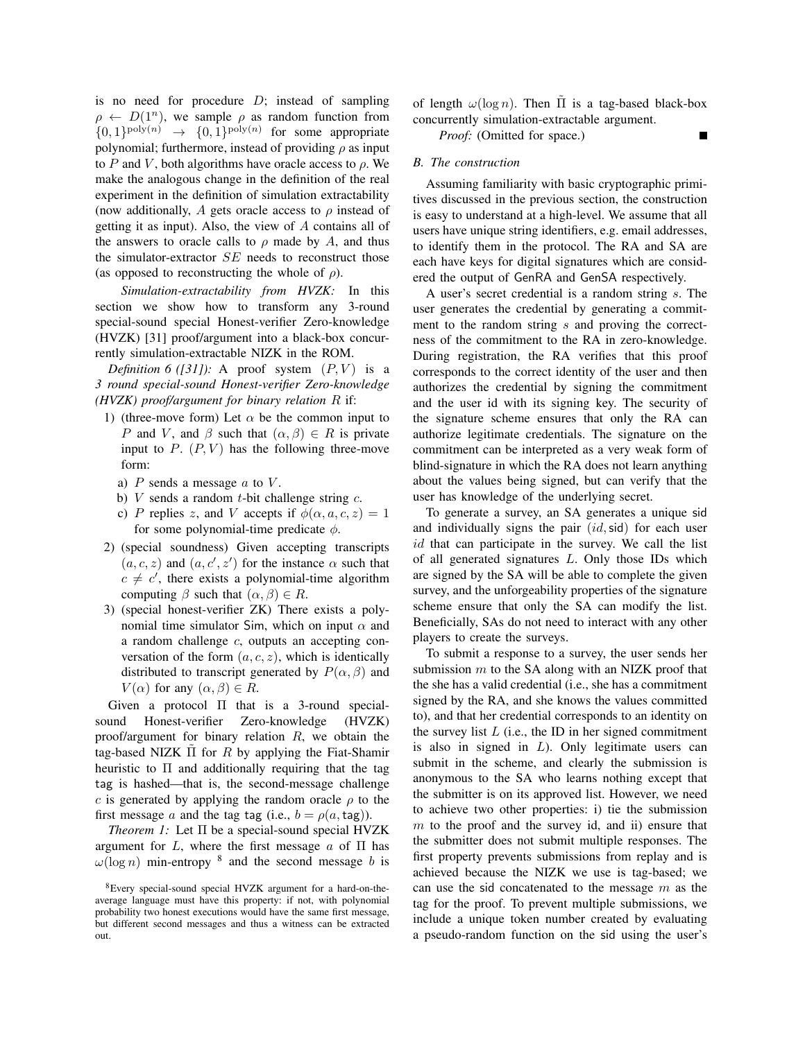is no need for procedure  $D$ ; instead of sampling  $\rho \leftarrow D(1^n)$ , we sample  $\rho$  as random function from  $\{0,1\}^{\text{poly}(n)} \rightarrow \{0,1\}^{\text{poly}(n)}$  for some appropriate polynomial; furthermore, instead of providing  $\rho$  as input to P and V, both algorithms have oracle access to  $\rho$ . We make the analogous change in the definition of the real experiment in the definition of simulation extractability (now additionally, A gets oracle access to  $\rho$  instead of getting it as input). Also, the view of A contains all of the answers to oracle calls to  $\rho$  made by A, and thus the simulator-extractor SE needs to reconstruct those (as opposed to reconstructing the whole of  $\rho$ ).

*Simulation-extractability from HVZK:* In this section we show how to transform any 3-round special-sound special Honest-verifier Zero-knowledge (HVZK) [31] proof/argument into a black-box concurrently simulation-extractable NIZK in the ROM.

*Definition 6 ([31]):* A proof system  $(P, V)$  is a *3 round special-sound Honest-verifier Zero-knowledge (HVZK) proof/argument for binary relation* R if:

- 1) (three-move form) Let  $\alpha$  be the common input to P and V, and  $\beta$  such that  $(\alpha, \beta) \in R$  is private input to  $P$ .  $(P, V)$  has the following three-move form:
	- a)  $P$  sends a message  $a$  to  $V$ .
	- b)  $V$  sends a random  $t$ -bit challenge string  $c$ .
	- c) P replies z, and V accepts if  $\phi(\alpha, a, c, z)=1$ for some polynomial-time predicate  $\phi$ .
- 2) (special soundness) Given accepting transcripts  $(a, c, z)$  and  $(a, c', z')$  for the instance  $\alpha$  such that  $c \neq c'$ , there exists a polynomial-time algorithm computing  $\beta$  such that  $(\alpha, \beta) \in R$ .
- 3) (special honest-verifier ZK) There exists a polynomial time simulator Sim, which on input  $\alpha$  and a random challenge c, outputs an accepting conversation of the form  $(a, c, z)$ , which is identically distributed to transcript generated by  $P(\alpha, \beta)$  and  $V(\alpha)$  for any  $(\alpha, \beta) \in R$ .

Given a protocol Π that is a 3-round specialsound Honest-verifier Zero-knowledge (HVZK) proof/argument for binary relation  $R$ , we obtain the tag-based NIZK  $\Pi$  for  $R$  by applying the Fiat-Shamir heuristic to  $\Pi$  and additionally requiring that the tag tag is hashed—that is, the second-message challenge c is generated by applying the random oracle  $\rho$  to the first message a and the tag tag (i.e.,  $b = \rho(a, \text{tag})$ ).

*Theorem 1:* Let Π be a special-sound special HVZK argument for L, where the first message  $\alpha$  of  $\Pi$  has  $\omega(\log n)$  min-entropy <sup>8</sup> and the second message *b* is of length  $\omega(\log n)$ . Then  $\overline{\Pi}$  is a tag-based black-box concurrently simulation-extractable argument.

*Proof:* (Omitted for space.)

# *B. The construction*

Assuming familiarity with basic cryptographic primitives discussed in the previous section, the construction is easy to understand at a high-level. We assume that all users have unique string identifiers, e.g. email addresses, to identify them in the protocol. The RA and SA are each have keys for digital signatures which are considered the output of GenRA and GenSA respectively.

A user's secret credential is a random string s. The user generates the credential by generating a commitment to the random string s and proving the correctness of the commitment to the RA in zero-knowledge. During registration, the RA verifies that this proof corresponds to the correct identity of the user and then authorizes the credential by signing the commitment and the user id with its signing key. The security of the signature scheme ensures that only the RA can authorize legitimate credentials. The signature on the commitment can be interpreted as a very weak form of blind-signature in which the RA does not learn anything about the values being signed, but can verify that the user has knowledge of the underlying secret.

To generate a survey, an SA generates a unique sid and individually signs the pair  $(id, sid)$  for each user  $id$  that can participate in the survey. We call the list of all generated signatures  $L$ . Only those IDs which are signed by the SA will be able to complete the given survey, and the unforgeability properties of the signature scheme ensure that only the SA can modify the list. Beneficially, SAs do not need to interact with any other players to create the surveys.

To submit a response to a survey, the user sends her submission  $m$  to the SA along with an NIZK proof that the she has a valid credential (i.e., she has a commitment signed by the RA, and she knows the values committed to), and that her credential corresponds to an identity on the survey list  $L$  (i.e., the ID in her signed commitment is also in signed in  $L$ ). Only legitimate users can submit in the scheme, and clearly the submission is anonymous to the SA who learns nothing except that the submitter is on its approved list. However, we need to achieve two other properties: i) tie the submission  $m$  to the proof and the survey id, and ii) ensure that the submitter does not submit multiple responses. The first property prevents submissions from replay and is achieved because the NIZK we use is tag-based; we can use the sid concatenated to the message  $m$  as the tag for the proof. To prevent multiple submissions, we include a unique token number created by evaluating a pseudo-random function on the sid using the user's

<sup>8</sup>Every special-sound special HVZK argument for a hard-on-theaverage language must have this property: if not, with polynomial probability two honest executions would have the same first message, but different second messages and thus a witness can be extracted out.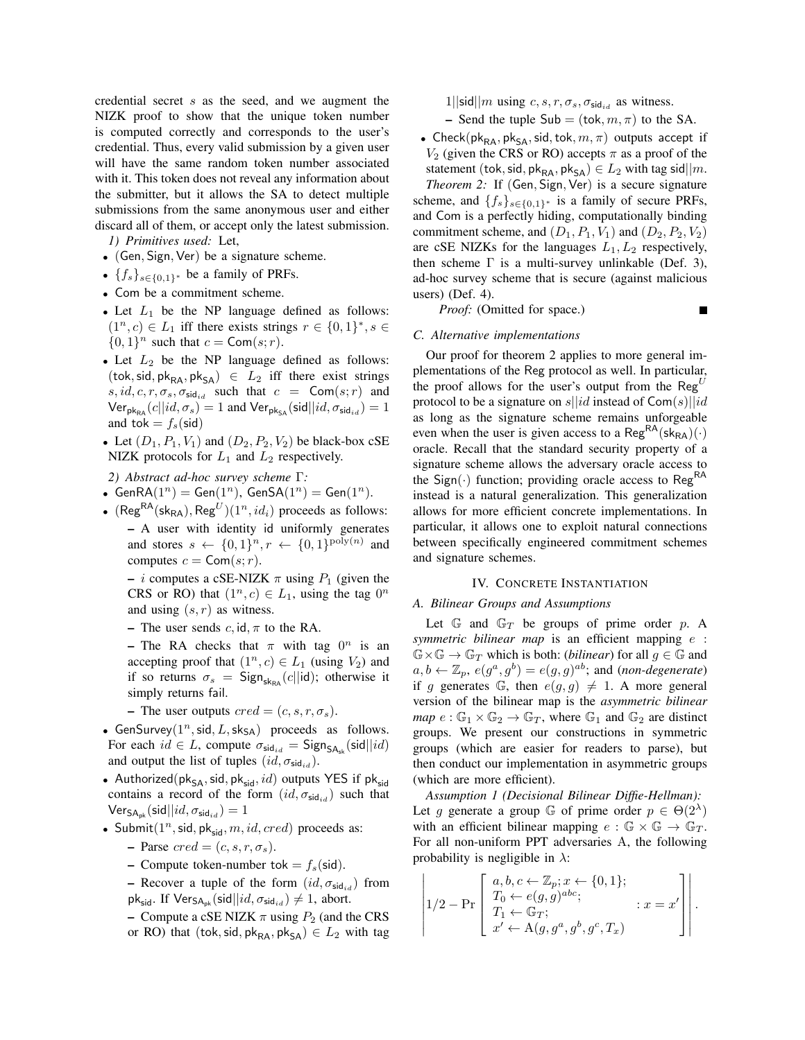credential secret s as the seed, and we augment the NIZK proof to show that the unique token number is computed correctly and corresponds to the user's credential. Thus, every valid submission by a given user will have the same random token number associated with it. This token does not reveal any information about the submitter, but it allows the SA to detect multiple submissions from the same anonymous user and either discard all of them, or accept only the latest submission.

*1) Primitives used:* Let,

- (Gen, Sign, Ver) be a signature scheme.
- $\{f_s\}_{s\in\{0,1\}^*}$  be a family of PRFs.
- Com be a commitment scheme.
- Let  $L_1$  be the NP language defined as follows:  $(1^n, c) \in L_1$  iff there exists strings  $r \in \{0, 1\}^*, s \in$  $\{0,1\}^n$  such that  $c = \text{Com}(s;r)$ .
- Let  $L_2$  be the NP language defined as follows:  $(tok, sid, pk_{RA}, pk_{SA}) \in L_2$  iff there exist strings  $s, id, c, r, \sigma_s, \sigma_{\text{sid}_{id}}$  such that  $c = \text{Com}(s; r)$  and  $Ver<sub>pk<sub>RA</sub></sub>(c||id, \sigma<sub>s</sub>)=1$  and  $Ver<sub>pk<sub>SA</sub></sub>(sid||id, \sigma<sub>sid<sub>id</sub></sub>)=1$ and tok  $= f_s(\text{sid})$
- Let  $(D_1, P_1, V_1)$  and  $(D_2, P_2, V_2)$  be black-box cSE NIZK protocols for  $L_1$  and  $L_2$  respectively.

*2) Abstract ad-hoc survey scheme* Γ*:*

- GenRA $(1^n)$  = Gen $(1^n)$ , GenSA $(1^n)$  = Gen $(1^n)$ .
- (Reg<sup>RA</sup>(sk<sub>RA</sub>), Reg<sup>U</sup>)(1<sup>n</sup>, id<sub>i</sub>) proceeds as follows: – A user with identity id uniformly generates and stores  $s \leftarrow \{0,1\}^n, r \leftarrow \{0,1\}^{\text{poly}(n)}$  and computes  $c = \text{Com}(s; r)$ .

– *i* computes a cSE-NIZK  $\pi$  using  $P_1$  (given the CRS or RO) that  $(1^n, c) \in L_1$ , using the tag  $0^n$ and using  $(s, r)$  as witness.

– The user sends  $c$ , id,  $\pi$  to the RA.

– The RA checks that  $\pi$  with tag  $0^n$  is an accepting proof that  $(1^n, c) \in L_1$  (using  $V_2$ ) and if so returns  $\sigma_s$  = Sign<sub>skRA</sub>(c||id); otherwise it simply returns fail.

– The user outputs  $cred = (c, s, r, \sigma_s)$ .

- GenSurvey $(1^n, \text{sid}, L, \text{sk}_{SA})$  proceeds as follows. For each  $id \in L$ , compute  $\sigma_{\text{sid}_{id}} = \text{Sign}_{\text{SA}_{\text{sk}}}(\text{sid}||id)$ and output the list of tuples  $(id, \sigma_{\text{sid}_i})$ .
- Authorized( $pk_{SA}$ , sid,  $pk_{sid}$ ,  $id$ ) outputs YES if  $pk_{sid}$ contains a record of the form  $(id, \sigma_{\text{sid}_{id}})$  such that  $\mathsf{Ver}_{\mathsf{SA}_{\mathsf{pk}}}(\mathsf{sid}||id, \sigma_{\mathsf{sid}_id})=1$
- Submit $(1^n, \text{sid}, \text{pk}_{\text{sid}}, m, id, \text{cred})$  proceeds as:
	- Parse  $cred = (c, s, r, \sigma_s)$ .
	- Compute token-number tok =  $f_s$ (sid).
	- Recover a tuple of the form  $(id, \sigma_{\text{sid}_{id}})$  from pk<sub>sid</sub>. If  $\text{Ver}_{\text{SA}_{\text{pk}}}(\text{sid}||id, \sigma_{\text{sid}_{id}}) \neq 1$ , abort.
	- Compute a cSE NIZK  $\pi$  using  $P_2$  (and the CRS or RO) that (tok, sid,  $pk_{RA}$ ,  $pk_{SA}$ )  $\in L_2$  with tag

1||sid||m using  $c, s, r, \sigma_s, \sigma_{\text{sid}_{id}}$  as witness.

- Send the tuple  $\mathsf{Sub} = (\mathsf{tok}, m, \pi)$  to the SA.
- Check( $pk_{RA}$ ,  $pk_{SA}$ , sid, tok,  $m, \pi$ ) outputs accept if  $V_2$  (given the CRS or RO) accepts  $\pi$  as a proof of the statement (tok, sid, pk<sub>RA</sub>, pk<sub>SA</sub>)  $\in L_2$  with tag sid||*m*.

*Theorem 2:* If (Gen, Sign, Ver) is a secure signature scheme, and  $\{f_s\}_{s\in\{0,1\}^*}$  is a family of secure PRFs, and Com is a perfectly hiding, computationally binding commitment scheme, and  $(D_1, P_1, V_1)$  and  $(D_2, P_2, V_2)$ are cSE NIZKs for the languages  $L_1, L_2$  respectively, then scheme  $\Gamma$  is a multi-survey unlinkable (Def. 3), ad-hoc survey scheme that is secure (against malicious users) (Def. 4).

 $\blacksquare$ 

*Proof:* (Omitted for space.)

### *C. Alternative implementations*

Our proof for theorem 2 applies to more general implementations of the Reg protocol as well. In particular, the proof allows for the user's output from the  $Reg<sup>U</sup>$ protocol to be a signature on  $s||id$  instead of  $Com(s)||id$ as long as the signature scheme remains unforgeable even when the user is given access to a Reg<sup>RA</sup>(sk<sub>RA</sub>)(·) oracle. Recall that the standard security property of a signature scheme allows the adversary oracle access to the Sign( $\cdot$ ) function; providing oracle access to Reg<sup>RA</sup> instead is a natural generalization. This generalization allows for more efficient concrete implementations. In particular, it allows one to exploit natural connections between specifically engineered commitment schemes and signature schemes.

### IV. CONCRETE INSTANTIATION

#### *A. Bilinear Groups and Assumptions*

Let  $\mathbb{G}$  and  $\mathbb{G}_T$  be groups of prime order p. A *symmetric bilinear map* is an efficient mapping e :  $\mathbb{G}\times\mathbb{G}\rightarrow\mathbb{G}_T$  which is both: *(bilinear)* for all  $g\in\mathbb{G}$  and  $a, b \leftarrow \mathbb{Z}_p, e(g^a, g^b) = e(g, g)^{ab}$ ; and (*non-degenerate*) if g generates G, then  $e(g, g) \neq 1$ . A more general version of the bilinear map is the *asymmetric bilinear map*  $e : \mathbb{G}_1 \times \mathbb{G}_2 \to \mathbb{G}_T$ , where  $\mathbb{G}_1$  and  $\mathbb{G}_2$  are distinct groups. We present our constructions in symmetric groups (which are easier for readers to parse), but then conduct our implementation in asymmetric groups (which are more efficient).

*Assumption 1 (Decisional Bilinear Diffie-Hellman):* Let g generate a group G of prime order  $p \in \Theta(2^{\lambda})$ with an efficient bilinear mapping  $e : \mathbb{G} \times \mathbb{G} \to \mathbb{G}_T$ . For all non-uniform PPT adversaries A, the following probability is negligible in  $\lambda$ :

$$
\left| 1/2 - \Pr \left[ \begin{array}{l} a, b, c \leftarrow \mathbb{Z}_p; x \leftarrow \{0, 1\}; \\ T_0 \leftarrow e(g, g)^{abc}; \\ T_1 \leftarrow \mathbb{G}_T; \\ x' \leftarrow \mathcal{A}(g, g^a, g^b, g^c, T_x) \end{array} \right. : x = x' \right] \right|.
$$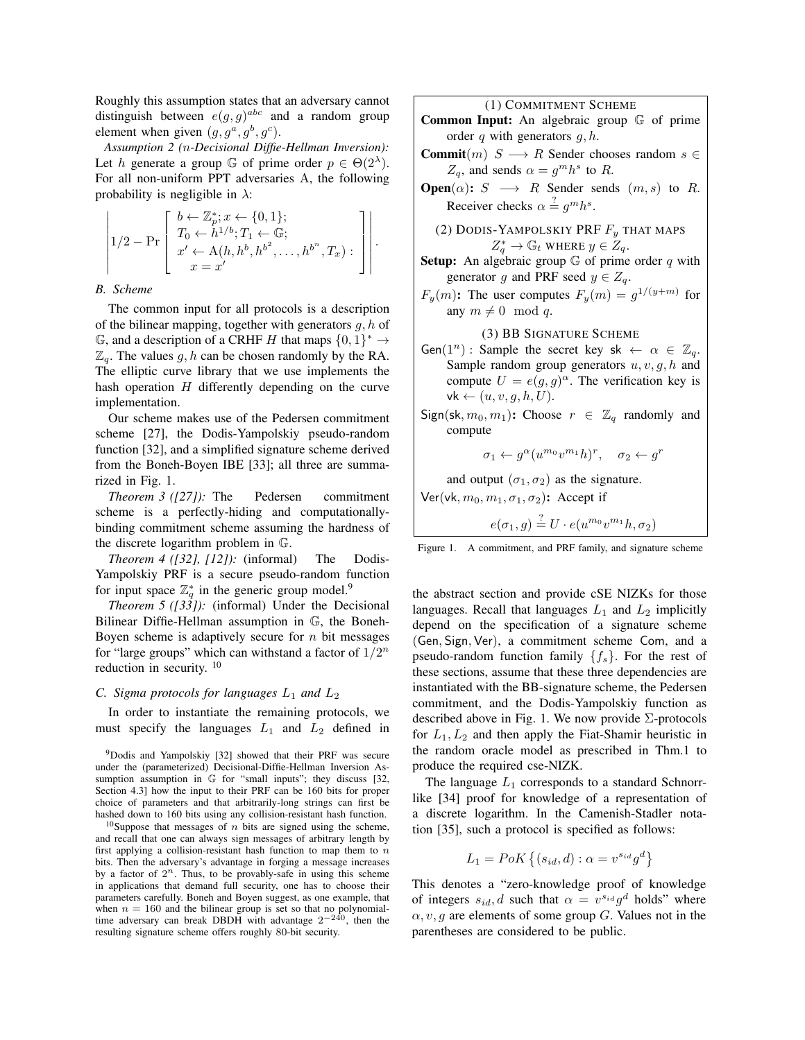Roughly this assumption states that an adversary cannot distinguish between  $e(g, g)^{abc}$  and a random group element when given  $(g, g^a, g^b, g^c)$ .

*Assumption 2 (*n*-Decisional Diffie-Hellman Inversion):* Let h generate a group G of prime order  $p \in \Theta(2^{\lambda})$ . For all non-uniform PPT adversaries A, the following probability is negligible in  $\lambda$ :

$$
\left| 1/2 - \Pr \left[ \begin{array}{l} b \leftarrow \mathbb{Z}_p^*; x \leftarrow \{0, 1\}; \\ T_0 \leftarrow h^{1/b}; T_1 \leftarrow \mathbb{G}; \\ x' \leftarrow A(h, h^b, h^{b^2}, \dots, h^{b^n}, T_x) : \\ x = x' \end{array} \right] \right|.
$$

# *B. Scheme*

The common input for all protocols is a description of the bilinear mapping, together with generators  $g, h$  of  $\mathbb{G}$ , and a description of a CRHF H that maps  $\{0,1\}^* \to$  $\mathbb{Z}_q$ . The values g, h can be chosen randomly by the RA. The elliptic curve library that we use implements the hash operation  $H$  differently depending on the curve implementation.

Our scheme makes use of the Pedersen commitment scheme [27], the Dodis-Yampolskiy pseudo-random function [32], and a simplified signature scheme derived from the Boneh-Boyen IBE [33]; all three are summarized in Fig. 1.

*Theorem 3 ([27]):* The Pedersen commitment scheme is a perfectly-hiding and computationallybinding commitment scheme assuming the hardness of the discrete logarithm problem in G.

*Theorem 4 ([32], [12]):* (informal) The Dodis-Yampolskiy PRF is a secure pseudo-random function for input space  $\mathbb{Z}_q^*$  in the generic group model.<sup>9</sup>

*Theorem 5 ([33]):* (informal) Under the Decisional Bilinear Diffie-Hellman assumption in G, the Boneh-Boyen scheme is adaptively secure for  $n$  bit messages for "large groups" which can withstand a factor of  $1/2^n$ reduction in security. <sup>10</sup>

#### *C. Sigma protocols for languages*  $L_1$  *and*  $L_2$

In order to instantiate the remaining protocols, we must specify the languages  $L_1$  and  $L_2$  defined in

9Dodis and Yampolskiy [32] showed that their PRF was secure under the (parameterized) Decisional-Diffie-Hellman Inversion Assumption assumption in  $\mathbb G$  for "small inputs"; they discuss [32, Section 4.3] how the input to their PRF can be 160 bits for proper choice of parameters and that arbitrarily-long strings can first be hashed down to 160 bits using any collision-resistant hash function.

 $10$ Suppose that messages of n bits are signed using the scheme, and recall that one can always sign messages of arbitrary length by first applying a collision-resistant hash function to map them to  $n$ bits. Then the adversary's advantage in forging a message increases by a factor of  $2^n$ . Thus, to be provably-safe in using this scheme in applications that demand full security, one has to choose their parameters carefully. Boneh and Boyen suggest, as one example, that when  $n = 160$  and the bilinear group is set so that no polynomialwhen  $n = 160$  and the bilinear group is set so that no polynomialtime adversary can break DBDH with advantage  $2^{-240}$ , then the resulting signature scheme offers roughly 80-bit security.

(1) COMMITMENT SCHEME

- Common Input: An algebraic group G of prime order  $q$  with generators  $g, h$ .
- **Commit** $(m)$   $S \longrightarrow R$  Sender chooses random  $s \in$  $Z_q$ , and sends  $\alpha = g^m h^s$  to R.
- **Open**( $\alpha$ ):  $S \rightarrow R$  Sender sends  $(m, s)$  to R. Receiver checks  $\alpha = g^m h^s$ .
	- (2) DODIS-YAMPOLSKIY PRF  $\mathbb{F}_y$  THAT MAPS  $Z_a^* \to \mathbb{G}_t$  where  $y \in \overset{\circ}{Z}_q$ .
- **Setup:** An algebraic group  $G$  of prime order q with generator g and PRF seed  $y \in Z_q$ .
- $F_y(m)$ : The user computes  $F_y(m) = g^{1/(y+m)}$  for any  $m \neq 0 \mod q$ .

### (3) BB SIGNATURE SCHEME

- Gen(1<sup>n</sup>) : Sample the secret key sk  $\leftarrow \alpha \in \mathbb{Z}_q$ . Sample random group generators  $u, v, g, h$  and compute  $U = e(g, g)^\alpha$ . The verification key is  $\mathsf{vk} \leftarrow (u, v, g, h, U).$
- Sign(sk,  $m_0, m_1$ ): Choose  $r \in \mathbb{Z}_q$  randomly and compute

$$
\sigma_1 \leftarrow g^{\alpha} (u^{m_0} v^{m_1} h)^r, \quad \sigma_2 \leftarrow g^r
$$

and output  $(\sigma_1, \sigma_2)$  as the signature.

Ver(vk,  $m_0, m_1, \sigma_1, \sigma_2$ ): Accept if

 $e(\sigma_1, g) \stackrel{?}{=} U \cdot e(u^{m_0}v^{m_1}h, \sigma_2)$ 

Figure 1. A commitment, and PRF family, and signature scheme

the abstract section and provide cSE NIZKs for those languages. Recall that languages  $L_1$  and  $L_2$  implicitly depend on the specification of a signature scheme (Gen, Sign, Ver), a commitment scheme Com, and a pseudo-random function family  $\{f_s\}$ . For the rest of these sections, assume that these three dependencies are instantiated with the BB-signature scheme, the Pedersen commitment, and the Dodis-Yampolskiy function as described above in Fig. 1. We now provide  $\Sigma$ -protocols for  $L_1, L_2$  and then apply the Fiat-Shamir heuristic in the random oracle model as prescribed in Thm.1 to produce the required cse-NIZK.

The language  $L_1$  corresponds to a standard Schnorrlike [34] proof for knowledge of a representation of a discrete logarithm. In the Camenish-Stadler notation [35], such a protocol is specified as follows:

$$
L_1 = PoK\left\{ (s_{id}, d) : \alpha = v^{s_{id}} g^d \right\}
$$

This denotes a "zero-knowledge proof of knowledge of integers  $s_{id}$ , d such that  $\alpha = v^{s_{id}} g^d$  holds" where  $\alpha$ , v, g are elements of some group G. Values not in the parentheses are considered to be public.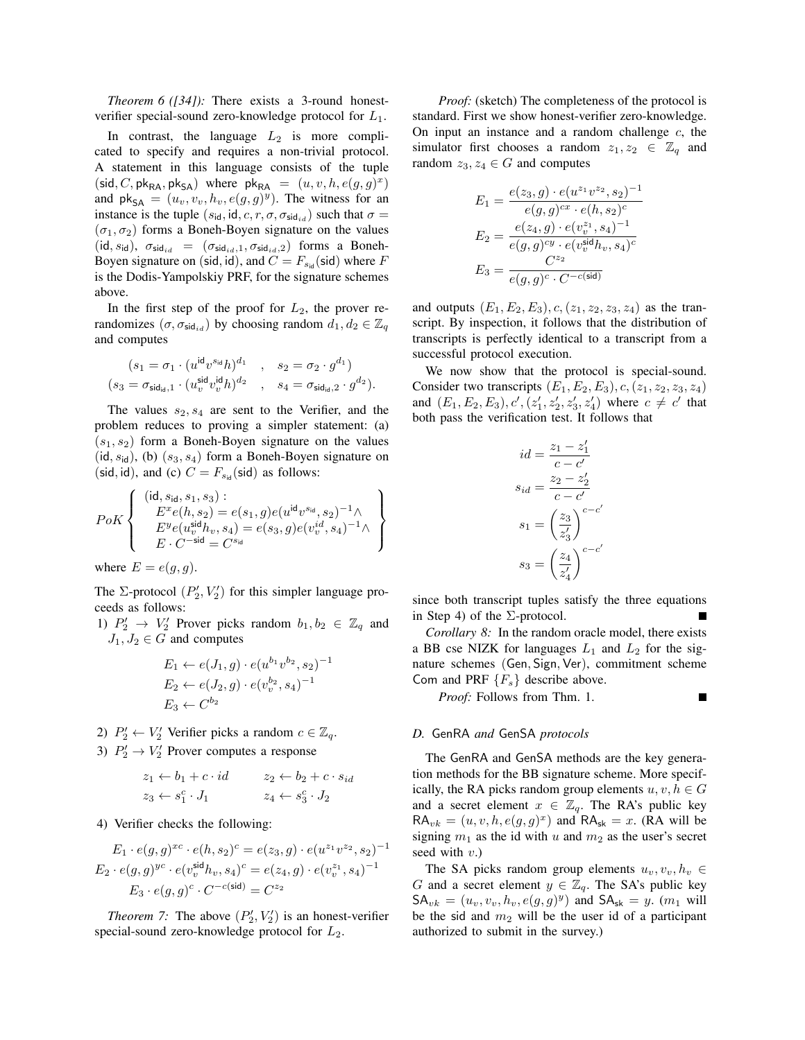*Theorem 6 ([34]):* There exists a 3-round honestverifier special-sound zero-knowledge protocol for L1.

In contrast, the language  $L_2$  is more complicated to specify and requires a non-trivial protocol. A statement in this language consists of the tuple  $(\text{sid}, C, \text{pk}_{\text{RA}}, \text{pk}_{\text{SA}})$  where  $\text{pk}_{\text{RA}} = (u, v, h, e(g, g)^x)$ and  $pk_{SA} = (u_v, v_v, h_v, e(g, g)^y)$ . The witness for an instance is the tuple  $(s_{id}, id, c, r, \sigma, \sigma_{sidid})$  such that  $\sigma =$  $(\sigma_1, \sigma_2)$  forms a Boneh-Boyen signature on the values  $(id, s_{id})$ ,  $\sigma_{sid_{id}} = (\sigma_{sid_{id},1}, \sigma_{sid_{id},2})$  forms a Boneh-Boyen signature on (sid, id), and  $C = F_{s_{id}}(\text{sid})$  where F is the Dodis-Yampolskiy PRF, for the signature schemes above.

In the first step of the proof for  $L_2$ , the prover rerandomizes  $(\sigma, \sigma_{\text{sid}_{id}})$  by choosing random  $d_1, d_2 \in \mathbb{Z}_q$ and computes

$$
\begin{aligned} (s_1&=\sigma_1\cdot (u^{\mathsf{id}}v^{s_{\mathsf{id}}}h)^{d_1} &,& s_2&=\sigma_2\cdot g^{d_1})\\ (s_3&=\sigma_{\mathsf{sid}_{\mathsf{id}},1}\cdot (u^{\mathsf{sid}}_v v^{\mathsf{id}}_v h)^{d_2} &,& s_4&=\sigma_{\mathsf{sid}_{\mathsf{id}},2}\cdot g^{d_2}). \end{aligned}
$$

The values  $s_2, s_4$  are sent to the Verifier, and the problem reduces to proving a simpler statement: (a)  $(s_1, s_2)$  form a Boneh-Boyen signature on the values (id,  $s_{id}$ ), (b)  $(s_3, s_4)$  form a Boneh-Boyen signature on (sid, id), and (c)  $C = F_{s_{\text{id}}}(\text{sid})$  as follows:

$$
PoK \left\{ \begin{array}{c} (\text{id}, s_{\text{id}}, s_1, s_3) : \\ E^x e(h, s_2) = e(s_1, g) e(u^{\text{id}} v^{s_{\text{id}}}, s_2)^{-1} \wedge \\ E^y e(u_v^{\text{sid}} h_v, s_4) = e(s_3, g) e(v_v^{\text{id}}, s_4)^{-1} \wedge \\ E \cdot C^{-\text{sid}} = C^{s_{\text{id}}} \end{array} \right\}
$$

where  $E = e(g, g)$ .

The  $\Sigma$ -protocol  $(P'_2, V'_2)$  for this simpler language proceeds as follows:

1)  $P'_2 \rightarrow V'_2$  Prover picks random  $b_1, b_2 \in \mathbb{Z}_q$  and  $J_1, J_2 \in G$  and computes

$$
E_1 \leftarrow e(J_1, g) \cdot e(u^{b_1}v^{b_2}, s_2)^{-1}
$$
  
\n
$$
E_2 \leftarrow e(J_2, g) \cdot e(v_v^{b_2}, s_4)^{-1}
$$
  
\n
$$
E_3 \leftarrow C^{b_2}
$$

2)  $P'_2 \leftarrow V'_2$  Verifier picks a random  $c \in \mathbb{Z}_q$ . 3)  $P'_2 \rightarrow V'_2$  Prover computes a response

$$
z_1 \leftarrow b_1 + c \cdot id \qquad z_2 \leftarrow b_2 + c \cdot s_{id}
$$
  

$$
z_3 \leftarrow s_1^c \cdot J_1 \qquad z_4 \leftarrow s_3^c \cdot J_2
$$

4) Verifier checks the following:

$$
E_1 \cdot e(g, g)^{xc} \cdot e(h, s_2)^c = e(z_3, g) \cdot e(u^{z_1}v^{z_2}, s_2)^{-1}
$$
  
\n
$$
E_2 \cdot e(g, g)^{yc} \cdot e(v_v^{\text{sid}}h_v, s_4)^c = e(z_4, g) \cdot e(v_v^{z_1}, s_4)^{-1}
$$
  
\n
$$
E_3 \cdot e(g, g)^c \cdot C^{-c(\text{sid})} = C^{z_2}
$$

*Theorem 7:* The above  $(P'_2, V'_2)$  is an honest-verifier special-sound zero-knowledge protocol for  $L_2$ .

*Proof:* (sketch) The completeness of the protocol is standard. First we show honest-verifier zero-knowledge. On input an instance and a random challenge  $c$ , the simulator first chooses a random  $z_1, z_2 \in \mathbb{Z}_q$  and random  $z_3, z_4 \in G$  and computes

$$
E_1 = \frac{e(z_3, g) \cdot e(u^{z_1}v^{z_2}, s_2)^{-1}}{e(g, g)^{cx} \cdot e(h, s_2)^c}
$$
  
\n
$$
E_2 = \frac{e(z_4, g) \cdot e(v_v^{z_1}, s_4)^{-1}}{e(g, g)^{cy} \cdot e(v_v^{sid}h_v, s_4)^c}
$$
  
\n
$$
E_3 = \frac{C^{z_2}}{e(g, g)^c \cdot C^{-c(\text{sid})}}
$$

and outputs  $(E_1, E_2, E_3), c, (z_1, z_2, z_3, z_4)$  as the transcript. By inspection, it follows that the distribution of transcripts is perfectly identical to a transcript from a successful protocol execution.

We now show that the protocol is special-sound. Consider two transcripts  $(E_1, E_2, E_3), c, (z_1, z_2, z_3, z_4)$ and  $(E_1, E_2, E_3), c', (z_1', z_2', z_3', z_4')$  where  $c \neq c'$  that both pass the verification test. It follows that

$$
id = \frac{z_1 - z'_1}{c - c'}
$$

$$
s_{id} = \frac{z_2 - z'_2}{c - c'}
$$

$$
s_1 = \left(\frac{z_3}{z'_3}\right)^{c - c'}
$$

$$
s_3 = \left(\frac{z_4}{z'_4}\right)^{c - c'}
$$

since both transcript tuples satisfy the three equations in Step 4) of the  $\Sigma$ -protocol.

*Corollary 8:* In the random oracle model, there exists a BB cse NIZK for languages  $L_1$  and  $L_2$  for the signature schemes (Gen, Sign, Ver), commitment scheme Com and PRF  ${F_s}$  describe above.

*D.* GenRA *and* GenSA *protocols*

*Proof:* Follows from Thm. 1.

The GenRA and GenSA methods are the key generation methods for the BB signature scheme. More specifically, the RA picks random group elements  $u, v, h \in G$ and a secret element  $x \in \mathbb{Z}_q$ . The RA's public key  $\mathsf{RA}_{vk} = (u, v, h, e(g, g)^x)$  and  $\mathsf{RA}_{sk} = x$ . (RA will be signing  $m_1$  as the id with u and  $m_2$  as the user's secret seed with  $v$ .)

The SA picks random group elements  $u_v, v_v, h_v \in$ G and a secret element  $y \in \mathbb{Z}_q$ . The SA's public key  $SA_{vk} = (u_v, v_v, h_v, e(g, g)^y)$  and  $SA_{sk} = y$ .  $(m_1 \text{ will}$ be the sid and  $m_2$  will be the user id of a participant authorized to submit in the survey.)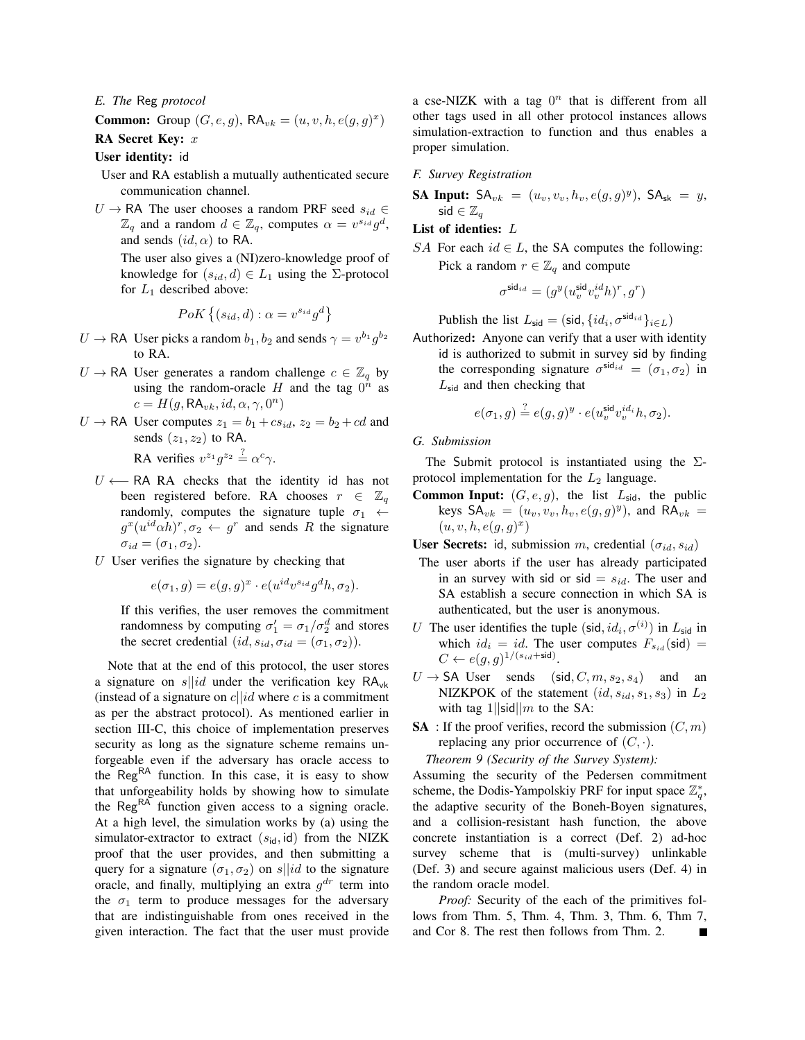# *E. The* Reg *protocol*

**Common:** Group  $(G, e, g)$ , RA<sub>vk</sub> =  $(u, v, h, e(g, g)^x)$ 

# RA Secret Key: x

### User identity: id

User and RA establish a mutually authenticated secure communication channel.

 $U \rightarrow \textsf{RA}$  The user chooses a random PRF seed  $s_{id} \in$  $\mathbb{Z}_q$  and a random  $d \in \mathbb{Z}_q$ , computes  $\alpha = v^{s_{id}} g^d$ , and sends  $(id, \alpha)$  to RA.

The user also gives a (NI)zero-knowledge proof of knowledge for  $(s_{id}, d) \in L_1$  using the  $\Sigma$ -protocol for  $L_1$  described above:

$$
PoK\left\{(s_{id}, d) : \alpha = v^{s_{id}}g^d\right\}
$$

- $U \rightarrow \mathsf{RA}$  User picks a random  $b_1, b_2$  and sends  $\gamma = v^{b_1} g^{b_2}$ to RA.
- $U \rightarrow \mathsf{RA}$  User generates a random challenge  $c \in \mathbb{Z}_q$  by using the random-oracle  $H$  and the tag  $0^n$  as  $c = H(g, \mathsf{RA}_{vk}, id, \alpha, \gamma, 0^n)$
- $U \rightarrow \text{RA}$  User computes  $z_1 = b_1 + cs_{id}, z_2 = b_2 + cd$  and sends  $(z_1, z_2)$  to RA. RA verifies  $v^{z_1} g^{z_2} \stackrel{?}{=} \alpha^c \gamma$ .
	- $U \leftarrow R A R A$  checks that the identity id has not been registered before. RA chooses  $r \in \mathbb{Z}_q$ randomly, computes the signature tuple  $\sigma_1 \leftarrow$  $g^x(u^{id}\alpha h)^r, \sigma_2 \leftarrow g^r$  and sends R the signature  $\sigma_{id} = (\sigma_1, \sigma_2).$
	- $U$  User verifies the signature by checking that

$$
e(\sigma_1, g) = e(g, g)^x \cdot e(u^{id}v^{s_{id}}g^dh, \sigma_2).
$$

If this verifies, the user removes the commitment randomness by computing  $\sigma'_1 = \sigma_1/\sigma_2^d$  and stores the secret credential  $(id, s_{id}, \sigma_{id} = (\sigma_1, \sigma_2)).$ 

Note that at the end of this protocol, the user stores a signature on  $s||id$  under the verification key RA<sub>vk</sub> (instead of a signature on  $c||id$  where c is a commitment as per the abstract protocol). As mentioned earlier in section III-C, this choice of implementation preserves security as long as the signature scheme remains unforgeable even if the adversary has oracle access to the  $\text{Reg}^{\text{RA}}$  function. In this case, it is easy to show that unforgeability holds by showing how to simulate the Reg<sup>RA</sup> function given access to a signing oracle. At a high level, the simulation works by (a) using the simulator-extractor to extract  $(s_{id}, id)$  from the NIZK proof that the user provides, and then submitting a query for a signature  $(\sigma_1, \sigma_2)$  on s||id to the signature oracle, and finally, multiplying an extra  $g^{dr}$  term into the  $\sigma_1$  term to produce messages for the adversary that are indistinguishable from ones received in the given interaction. The fact that the user must provide a cse-NIZK with a tag  $0^n$  that is different from all other tags used in all other protocol instances allows simulation-extraction to function and thus enables a proper simulation.

#### *F. Survey Registration*

**SA Input:** 
$$
SA_{vk} = (u_v, v_v, h_v, e(g, g)^y)
$$
,  $SA_{sk} = y$ ,  $sid \in \mathbb{Z}_q$ 

# List of identies: L

SA For each  $id \in L$ , the SA computes the following: Pick a random  $r \in \mathbb{Z}_q$  and compute

$$
\sigma^{\text{sid}_{id}} = (g^y(u_v^{\text{sid}}v_v^{id}h)^r, g^r)
$$

Publish the list  $L_{\text{sid}} = (\text{sid}, \{id_i, \sigma^{\text{sid}_{id}}\}_{i \in L})$ 

Authorized: Anyone can verify that a user with identity id is authorized to submit in survey sid by finding the corresponding signature  $\sigma^{\text{sid}_{id}} = (\sigma_1, \sigma_2)$  in  $L_{\text{sid}}$  and then checking that

$$
e(\sigma_1, g) \stackrel{?}{=} e(g, g)^y \cdot e(u_v^{\text{sid}} v_v^{id_i} h, \sigma_2).
$$

# *G. Submission*

The Submit protocol is instantiated using the  $\Sigma$ protocol implementation for the  $L_2$  language.

**Common Input:**  $(G, e, g)$ , the list  $L_{sid}$ , the public keys  $SA_{vk} = (u_v, v_v, h_v, e(g, g)^y)$ , and  $RA_{vk}$  =  $(u, v, h, e(g, g)^x)$ 

User Secrets: id, submission m, credential  $(\sigma_{id}, s_{id})$ 

- The user aborts if the user has already participated in an survey with sid or sid =  $s_{id}$ . The user and SA establish a secure connection in which SA is authenticated, but the user is anonymous.
- U The user identifies the tuple (sid,  $id_i, \sigma^{(i)}$ ) in  $L_{\text{sid}}$  in which  $id_i = id$ . The user computes  $F_{s_{id}}(\text{sid}) =$  $C \leftarrow e(g,g)^{1/(s_{id} + \text{sid})}.$
- $U \rightarrow SA$  User sends (sid,  $C, m, s_2, s_4$ ) and an NIZKPOK of the statement  $(id, s_{id}, s_1, s_3)$  in  $L_2$ with tag 1||sid||m to the SA:
- $\mathbf{SA}$ : If the proof verifies, record the submission  $(C, m)$ replacing any prior occurrence of  $(C, \cdot)$ .

*Theorem 9 (Security of the Survey System):*

Assuming the security of the Pedersen commitment scheme, the Dodis-Yampolskiy PRF for input space  $\mathbb{Z}_q^*$ , the adaptive security of the Boneh-Boyen signatures, and a collision-resistant hash function, the above concrete instantiation is a correct (Def. 2) ad-hoc survey scheme that is (multi-survey) unlinkable (Def. 3) and secure against malicious users (Def. 4) in the random oracle model.

*Proof:* Security of the each of the primitives follows from Thm. 5, Thm. 4, Thm. 3, Thm. 6, Thm 7, and Cor 8. The rest then follows from Thm. 2.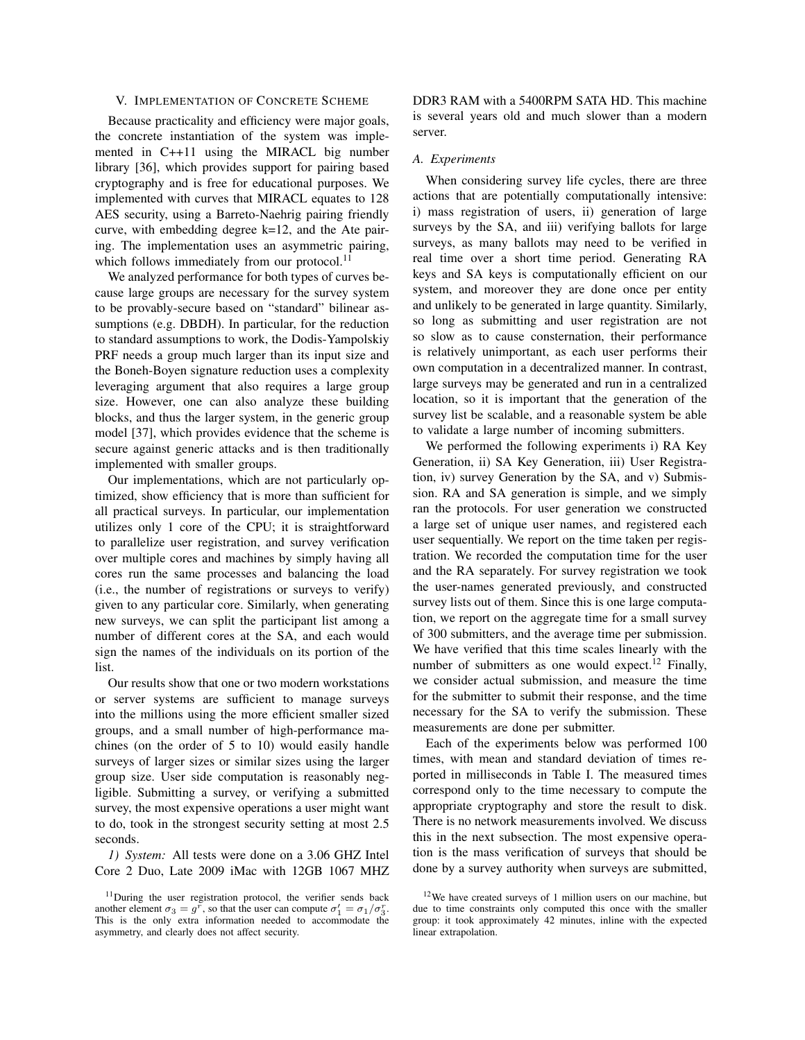### V. IMPLEMENTATION OF CONCRETE SCHEME

Because practicality and efficiency were major goals, the concrete instantiation of the system was implemented in C++11 using the MIRACL big number library [36], which provides support for pairing based cryptography and is free for educational purposes. We implemented with curves that MIRACL equates to 128 AES security, using a Barreto-Naehrig pairing friendly curve, with embedding degree k=12, and the Ate pairing. The implementation uses an asymmetric pairing, which follows immediately from our protocol.<sup>11</sup>

We analyzed performance for both types of curves because large groups are necessary for the survey system to be provably-secure based on "standard" bilinear assumptions (e.g. DBDH). In particular, for the reduction to standard assumptions to work, the Dodis-Yampolskiy PRF needs a group much larger than its input size and the Boneh-Boyen signature reduction uses a complexity leveraging argument that also requires a large group size. However, one can also analyze these building blocks, and thus the larger system, in the generic group model [37], which provides evidence that the scheme is secure against generic attacks and is then traditionally implemented with smaller groups.

Our implementations, which are not particularly optimized, show efficiency that is more than sufficient for all practical surveys. In particular, our implementation utilizes only 1 core of the CPU; it is straightforward to parallelize user registration, and survey verification over multiple cores and machines by simply having all cores run the same processes and balancing the load (i.e., the number of registrations or surveys to verify) given to any particular core. Similarly, when generating new surveys, we can split the participant list among a number of different cores at the SA, and each would sign the names of the individuals on its portion of the list.

Our results show that one or two modern workstations or server systems are sufficient to manage surveys into the millions using the more efficient smaller sized groups, and a small number of high-performance machines (on the order of 5 to 10) would easily handle surveys of larger sizes or similar sizes using the larger group size. User side computation is reasonably negligible. Submitting a survey, or verifying a submitted survey, the most expensive operations a user might want to do, took in the strongest security setting at most 2.5 seconds.

*1) System:* All tests were done on a 3.06 GHZ Intel Core 2 Duo, Late 2009 iMac with 12GB 1067 MHZ DDR3 RAM with a 5400RPM SATA HD. This machine is several years old and much slower than a modern server.

### *A. Experiments*

When considering survey life cycles, there are three actions that are potentially computationally intensive: i) mass registration of users, ii) generation of large surveys by the SA, and iii) verifying ballots for large surveys, as many ballots may need to be verified in real time over a short time period. Generating RA keys and SA keys is computationally efficient on our system, and moreover they are done once per entity and unlikely to be generated in large quantity. Similarly, so long as submitting and user registration are not so slow as to cause consternation, their performance is relatively unimportant, as each user performs their own computation in a decentralized manner. In contrast, large surveys may be generated and run in a centralized location, so it is important that the generation of the survey list be scalable, and a reasonable system be able to validate a large number of incoming submitters.

We performed the following experiments i) RA Key Generation, ii) SA Key Generation, iii) User Registration, iv) survey Generation by the SA, and v) Submission. RA and SA generation is simple, and we simply ran the protocols. For user generation we constructed a large set of unique user names, and registered each user sequentially. We report on the time taken per registration. We recorded the computation time for the user and the RA separately. For survey registration we took the user-names generated previously, and constructed survey lists out of them. Since this is one large computation, we report on the aggregate time for a small survey of 300 submitters, and the average time per submission. We have verified that this time scales linearly with the number of submitters as one would expect.<sup>12</sup> Finally, we consider actual submission, and measure the time for the submitter to submit their response, and the time necessary for the SA to verify the submission. These measurements are done per submitter.

Each of the experiments below was performed 100 times, with mean and standard deviation of times reported in milliseconds in Table I. The measured times correspond only to the time necessary to compute the appropriate cryptography and store the result to disk. There is no network measurements involved. We discuss this in the next subsection. The most expensive operation is the mass verification of surveys that should be done by a survey authority when surveys are submitted,

<sup>11</sup>During the user registration protocol, the verifier sends back another element  $\sigma_3 = g^r$ , so that the user can compute  $\sigma'_1 = \sigma_1/\sigma_3^r$ .<br>This is the only extra information needed to accommodate the This is the only extra information needed to accommodate the asymmetry, and clearly does not affect security.

<sup>12</sup>We have created surveys of 1 million users on our machine, but due to time constraints only computed this once with the smaller group: it took approximately 42 minutes, inline with the expected linear extrapolation.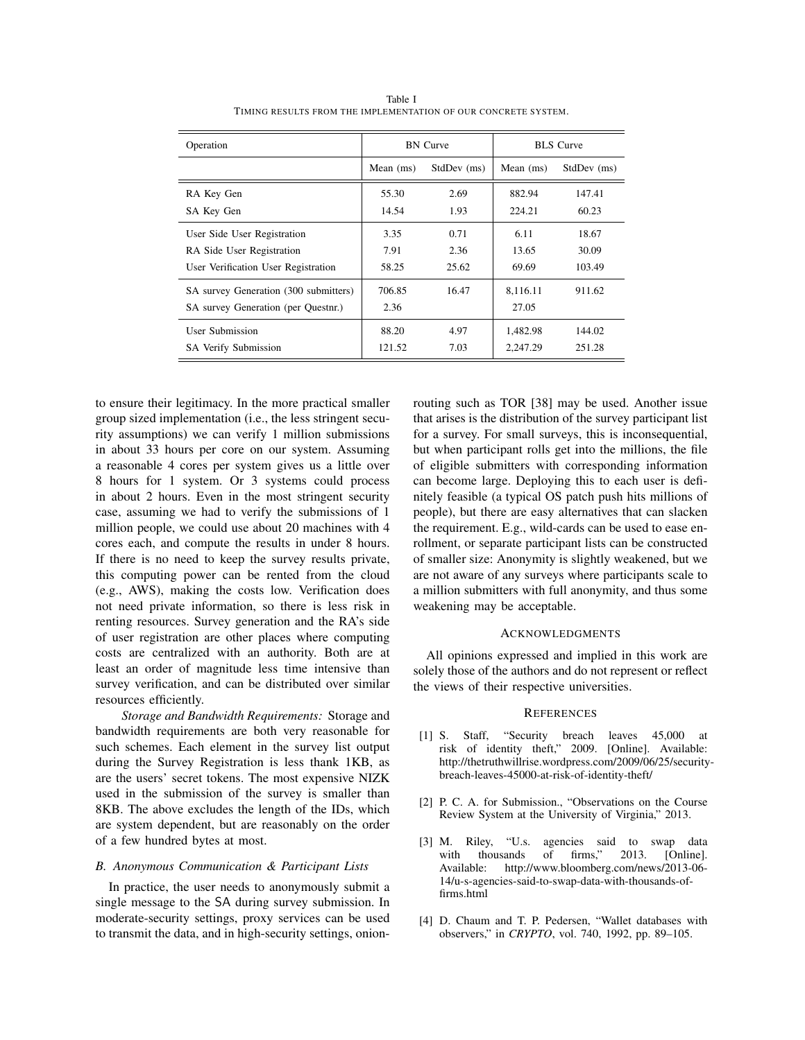| Operation                                                                    | <b>BN</b> Curve |             | <b>BLS</b> Curve  |             |
|------------------------------------------------------------------------------|-----------------|-------------|-------------------|-------------|
|                                                                              | Mean $(ms)$     | StdDev (ms) | Mean $(ms)$       | StdDev (ms) |
| RA Key Gen                                                                   | 55.30           | 2.69        | 882.94            | 147.41      |
| SA Key Gen                                                                   | 14.54           | 1.93        | 224.21            | 60.23       |
| User Side User Registration                                                  | 3.35            | 0.71        | 6.11              | 18.67       |
| RA Side User Registration                                                    | 7.91            | 2.36        | 13.65             | 30.09       |
| User Verification User Registration                                          | 58.25           | 25.62       | 69.69             | 103.49      |
| SA survey Generation (300 submitters)<br>SA survey Generation (per Questnr.) | 706.85<br>2.36  | 16.47       | 8.116.11<br>27.05 | 911.62      |
| User Submission                                                              | 88.20           | 4.97        | 1,482.98          | 144.02      |
| <b>SA Verify Submission</b>                                                  | 121.52          | 7.03        | 2,247.29          | 251.28      |

Table I TIMING RESULTS FROM THE IMPLEMENTATION OF OUR CONCRETE SYSTEM.

to ensure their legitimacy. In the more practical smaller group sized implementation (i.e., the less stringent security assumptions) we can verify 1 million submissions in about 33 hours per core on our system. Assuming a reasonable 4 cores per system gives us a little over 8 hours for 1 system. Or 3 systems could process in about 2 hours. Even in the most stringent security case, assuming we had to verify the submissions of 1 million people, we could use about 20 machines with 4 cores each, and compute the results in under 8 hours. If there is no need to keep the survey results private, this computing power can be rented from the cloud (e.g., AWS), making the costs low. Verification does not need private information, so there is less risk in renting resources. Survey generation and the RA's side of user registration are other places where computing costs are centralized with an authority. Both are at least an order of magnitude less time intensive than survey verification, and can be distributed over similar resources efficiently.

*Storage and Bandwidth Requirements:* Storage and bandwidth requirements are both very reasonable for such schemes. Each element in the survey list output during the Survey Registration is less thank 1KB, as are the users' secret tokens. The most expensive NIZK used in the submission of the survey is smaller than 8KB. The above excludes the length of the IDs, which are system dependent, but are reasonably on the order of a few hundred bytes at most.

#### *B. Anonymous Communication & Participant Lists*

In practice, the user needs to anonymously submit a single message to the SA during survey submission. In moderate-security settings, proxy services can be used to transmit the data, and in high-security settings, onionrouting such as TOR [38] may be used. Another issue that arises is the distribution of the survey participant list for a survey. For small surveys, this is inconsequential, but when participant rolls get into the millions, the file of eligible submitters with corresponding information can become large. Deploying this to each user is definitely feasible (a typical OS patch push hits millions of people), but there are easy alternatives that can slacken the requirement. E.g., wild-cards can be used to ease enrollment, or separate participant lists can be constructed of smaller size: Anonymity is slightly weakened, but we are not aware of any surveys where participants scale to a million submitters with full anonymity, and thus some weakening may be acceptable.

#### ACKNOWLEDGMENTS

All opinions expressed and implied in this work are solely those of the authors and do not represent or reflect the views of their respective universities.

#### **REFERENCES**

- [1] S. Staff, "Security breach leaves 45,000 at risk of identity theft," 2009. [Online]. Available: http://thetruthwillrise.wordpress.com/2009/06/25/securitybreach-leaves-45000-at-risk-of-identity-theft/
- [2] P. C. A. for Submission., "Observations on the Course Review System at the University of Virginia," 2013.
- [3] M. Riley, "U.s. agencies said to swap data with thousands of firms," 2013. [Online]. Available: http://www.bloomberg.com/news/2013-06- 14/u-s-agencies-said-to-swap-data-with-thousands-offirms.html
- [4] D. Chaum and T. P. Pedersen, "Wallet databases with observers," in *CRYPTO*, vol. 740, 1992, pp. 89–105.